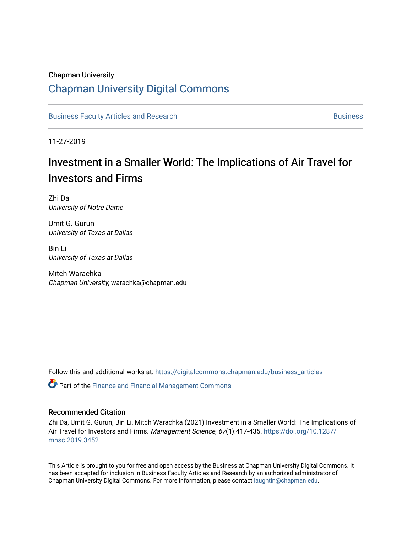### Chapman University

# [Chapman University Digital Commons](https://digitalcommons.chapman.edu/)

[Business Faculty Articles and Research](https://digitalcommons.chapman.edu/business_articles) [Business](https://digitalcommons.chapman.edu/business) **Business** Business

11-27-2019

# Investment in a Smaller World: The Implications of Air Travel for Investors and Firms

Zhi Da University of Notre Dame

Umit G. Gurun University of Texas at Dallas

Bin Li University of Texas at Dallas

Mitch Warachka Chapman University, warachka@chapman.edu

Follow this and additional works at: [https://digitalcommons.chapman.edu/business\\_articles](https://digitalcommons.chapman.edu/business_articles?utm_source=digitalcommons.chapman.edu%2Fbusiness_articles%2F114&utm_medium=PDF&utm_campaign=PDFCoverPages) 

**P** Part of the Finance and Financial Management Commons

### Recommended Citation

Zhi Da, Umit G. Gurun, Bin Li, Mitch Warachka (2021) Investment in a Smaller World: The Implications of Air Travel for Investors and Firms. Management Science, 67(1):417-435. [https://doi.org/10.1287/](https://doi.org/10.1287/mnsc.2019.3452) [mnsc.2019.3452](https://doi.org/10.1287/mnsc.2019.3452) 

This Article is brought to you for free and open access by the Business at Chapman University Digital Commons. It has been accepted for inclusion in Business Faculty Articles and Research by an authorized administrator of Chapman University Digital Commons. For more information, please contact [laughtin@chapman.edu](mailto:laughtin@chapman.edu).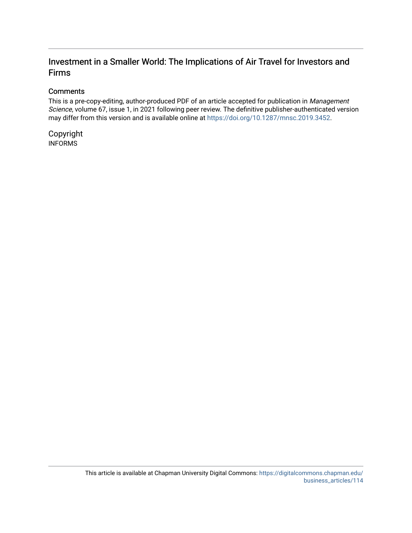# Investment in a Smaller World: The Implications of Air Travel for Investors and Firms

### **Comments**

This is a pre-copy-editing, author-produced PDF of an article accepted for publication in Management Science, volume 67, issue 1, in 2021 following peer review. The definitive publisher-authenticated version may differ from this version and is available online at [https://doi.org/10.1287/mnsc.2019.3452.](https://doi.org/10.1287/mnsc.2019.3452)

Copyright INFORMS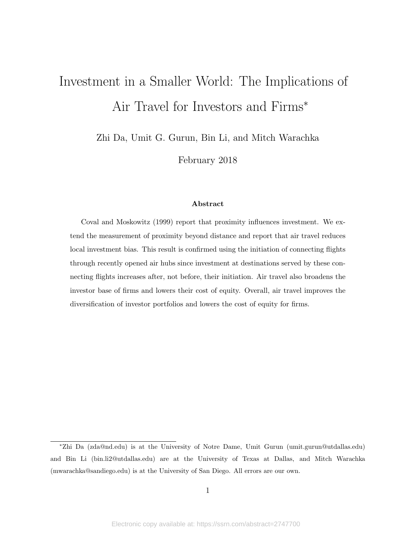# Investment in a Smaller World: The Implications of Air Travel for Investors and Firms<sup>∗</sup>

Zhi Da, Umit G. Gurun, Bin Li, and Mitch Warachka

February 2018

### Abstract

Coval and Moskowitz (1999) report that proximity influences investment. We extend the measurement of proximity beyond distance and report that air travel reduces local investment bias. This result is confirmed using the initiation of connecting flights through recently opened air hubs since investment at destinations served by these connecting flights increases after, not before, their initiation. Air travel also broadens the investor base of firms and lowers their cost of equity. Overall, air travel improves the diversification of investor portfolios and lowers the cost of equity for firms.

<sup>∗</sup>Zhi Da (zda@nd.edu) is at the University of Notre Dame, Umit Gurun (umit.gurun@utdallas.edu) and Bin Li (bin.li2@utdallas.edu) are at the University of Texas at Dallas, and Mitch Warachka (mwarachka@sandiego.edu) is at the University of San Diego. All errors are our own.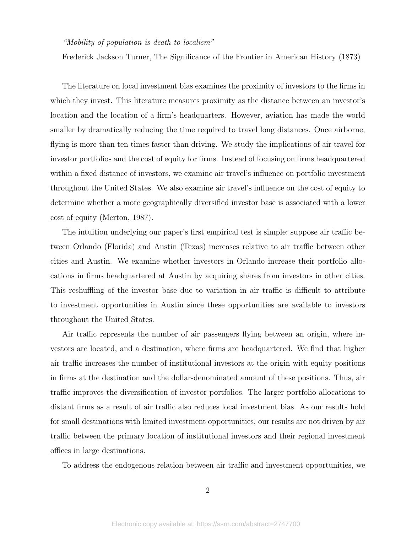### "Mobility of population is death to localism"

Frederick Jackson Turner, The Significance of the Frontier in American History (1873)

The literature on local investment bias examines the proximity of investors to the firms in which they invest. This literature measures proximity as the distance between an investor's location and the location of a firm's headquarters. However, aviation has made the world smaller by dramatically reducing the time required to travel long distances. Once airborne, flying is more than ten times faster than driving. We study the implications of air travel for investor portfolios and the cost of equity for firms. Instead of focusing on firms headquartered within a fixed distance of investors, we examine air travel's influence on portfolio investment throughout the United States. We also examine air travel's influence on the cost of equity to determine whether a more geographically diversified investor base is associated with a lower cost of equity (Merton, 1987).

The intuition underlying our paper's first empirical test is simple: suppose air traffic between Orlando (Florida) and Austin (Texas) increases relative to air traffic between other cities and Austin. We examine whether investors in Orlando increase their portfolio allocations in firms headquartered at Austin by acquiring shares from investors in other cities. This reshuffling of the investor base due to variation in air traffic is difficult to attribute to investment opportunities in Austin since these opportunities are available to investors throughout the United States.

Air traffic represents the number of air passengers flying between an origin, where investors are located, and a destination, where firms are headquartered. We find that higher air traffic increases the number of institutional investors at the origin with equity positions in firms at the destination and the dollar-denominated amount of these positions. Thus, air traffic improves the diversification of investor portfolios. The larger portfolio allocations to distant firms as a result of air traffic also reduces local investment bias. As our results hold for small destinations with limited investment opportunities, our results are not driven by air traffic between the primary location of institutional investors and their regional investment offices in large destinations.

To address the endogenous relation between air traffic and investment opportunities, we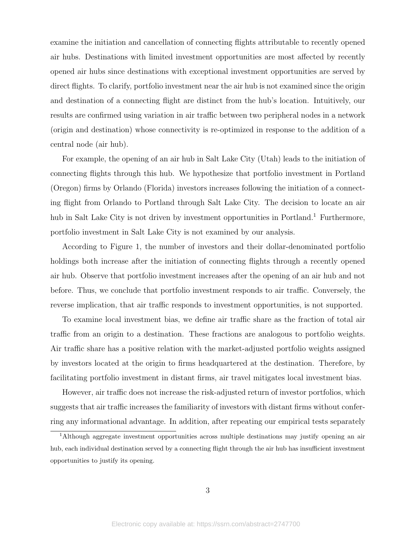examine the initiation and cancellation of connecting flights attributable to recently opened air hubs. Destinations with limited investment opportunities are most affected by recently opened air hubs since destinations with exceptional investment opportunities are served by direct flights. To clarify, portfolio investment near the air hub is not examined since the origin and destination of a connecting flight are distinct from the hub's location. Intuitively, our results are confirmed using variation in air traffic between two peripheral nodes in a network (origin and destination) whose connectivity is re-optimized in response to the addition of a central node (air hub).

For example, the opening of an air hub in Salt Lake City (Utah) leads to the initiation of connecting flights through this hub. We hypothesize that portfolio investment in Portland (Oregon) firms by Orlando (Florida) investors increases following the initiation of a connecting flight from Orlando to Portland through Salt Lake City. The decision to locate an air hub in Salt Lake City is not driven by investment opportunities in Portland.<sup>1</sup> Furthermore, portfolio investment in Salt Lake City is not examined by our analysis.

According to Figure 1, the number of investors and their dollar-denominated portfolio holdings both increase after the initiation of connecting flights through a recently opened air hub. Observe that portfolio investment increases after the opening of an air hub and not before. Thus, we conclude that portfolio investment responds to air traffic. Conversely, the reverse implication, that air traffic responds to investment opportunities, is not supported.

To examine local investment bias, we define air traffic share as the fraction of total air traffic from an origin to a destination. These fractions are analogous to portfolio weights. Air traffic share has a positive relation with the market-adjusted portfolio weights assigned by investors located at the origin to firms headquartered at the destination. Therefore, by facilitating portfolio investment in distant firms, air travel mitigates local investment bias.

However, air traffic does not increase the risk-adjusted return of investor portfolios, which suggests that air traffic increases the familiarity of investors with distant firms without conferring any informational advantage. In addition, after repeating our empirical tests separately

<sup>1</sup>Although aggregate investment opportunities across multiple destinations may justify opening an air hub, each individual destination served by a connecting flight through the air hub has insufficient investment opportunities to justify its opening.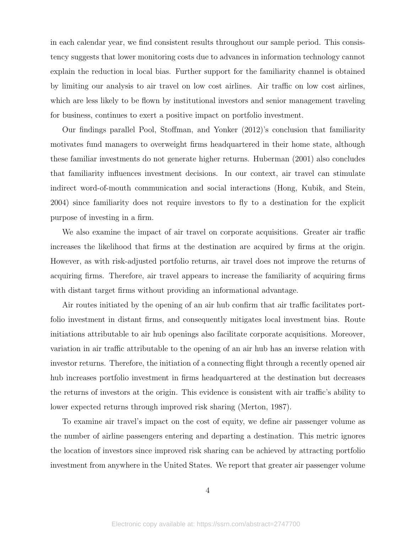in each calendar year, we find consistent results throughout our sample period. This consistency suggests that lower monitoring costs due to advances in information technology cannot explain the reduction in local bias. Further support for the familiarity channel is obtained by limiting our analysis to air travel on low cost airlines. Air traffic on low cost airlines, which are less likely to be flown by institutional investors and senior management traveling for business, continues to exert a positive impact on portfolio investment.

Our findings parallel Pool, Stoffman, and Yonker (2012)'s conclusion that familiarity motivates fund managers to overweight firms headquartered in their home state, although these familiar investments do not generate higher returns. Huberman (2001) also concludes that familiarity influences investment decisions. In our context, air travel can stimulate indirect word-of-mouth communication and social interactions (Hong, Kubik, and Stein, 2004) since familiarity does not require investors to fly to a destination for the explicit purpose of investing in a firm.

We also examine the impact of air travel on corporate acquisitions. Greater air traffic increases the likelihood that firms at the destination are acquired by firms at the origin. However, as with risk-adjusted portfolio returns, air travel does not improve the returns of acquiring firms. Therefore, air travel appears to increase the familiarity of acquiring firms with distant target firms without providing an informational advantage.

Air routes initiated by the opening of an air hub confirm that air traffic facilitates portfolio investment in distant firms, and consequently mitigates local investment bias. Route initiations attributable to air hub openings also facilitate corporate acquisitions. Moreover, variation in air traffic attributable to the opening of an air hub has an inverse relation with investor returns. Therefore, the initiation of a connecting flight through a recently opened air hub increases portfolio investment in firms headquartered at the destination but decreases the returns of investors at the origin. This evidence is consistent with air traffic's ability to lower expected returns through improved risk sharing (Merton, 1987).

To examine air travel's impact on the cost of equity, we define air passenger volume as the number of airline passengers entering and departing a destination. This metric ignores the location of investors since improved risk sharing can be achieved by attracting portfolio investment from anywhere in the United States. We report that greater air passenger volume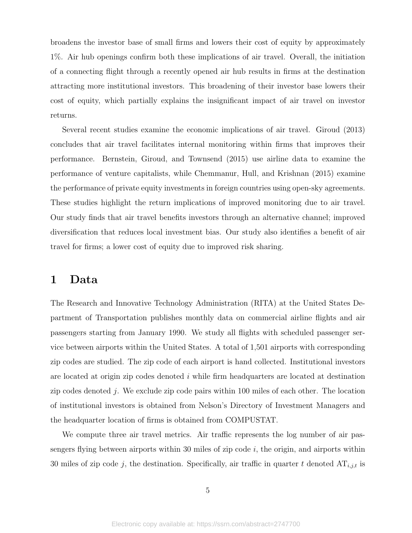broadens the investor base of small firms and lowers their cost of equity by approximately 1%. Air hub openings confirm both these implications of air travel. Overall, the initiation of a connecting flight through a recently opened air hub results in firms at the destination attracting more institutional investors. This broadening of their investor base lowers their cost of equity, which partially explains the insignificant impact of air travel on investor returns.

Several recent studies examine the economic implications of air travel. Giroud (2013) concludes that air travel facilitates internal monitoring within firms that improves their performance. Bernstein, Giroud, and Townsend (2015) use airline data to examine the performance of venture capitalists, while Chemmanur, Hull, and Krishnan (2015) examine the performance of private equity investments in foreign countries using open-sky agreements. These studies highlight the return implications of improved monitoring due to air travel. Our study finds that air travel benefits investors through an alternative channel; improved diversification that reduces local investment bias. Our study also identifies a benefit of air travel for firms; a lower cost of equity due to improved risk sharing.

# 1 Data

The Research and Innovative Technology Administration (RITA) at the United States Department of Transportation publishes monthly data on commercial airline flights and air passengers starting from January 1990. We study all flights with scheduled passenger service between airports within the United States. A total of 1,501 airports with corresponding zip codes are studied. The zip code of each airport is hand collected. Institutional investors are located at origin zip codes denoted i while firm headquarters are located at destination zip codes denoted j. We exclude zip code pairs within 100 miles of each other. The location of institutional investors is obtained from Nelson's Directory of Investment Managers and the headquarter location of firms is obtained from COMPUSTAT.

We compute three air travel metrics. Air traffic represents the log number of air passengers flying between airports within 30 miles of zip code  $i$ , the origin, and airports within 30 miles of zip code j, the destination. Specifically, air traffic in quarter t denoted  $AT_{i,j,t}$  is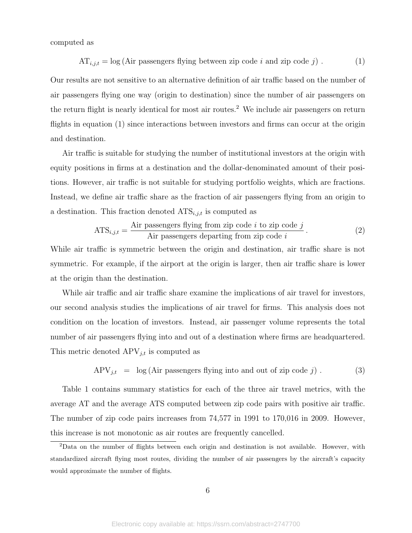computed as

$$
AT_{i,j,t} = \log(\text{Air passengers flying between zip code } i \text{ and zip code } j).
$$
 (1)

Our results are not sensitive to an alternative definition of air traffic based on the number of air passengers flying one way (origin to destination) since the number of air passengers on the return flight is nearly identical for most air routes.<sup>2</sup> We include air passengers on return flights in equation (1) since interactions between investors and firms can occur at the origin and destination.

Air traffic is suitable for studying the number of institutional investors at the origin with equity positions in firms at a destination and the dollar-denominated amount of their positions. However, air traffic is not suitable for studying portfolio weights, which are fractions. Instead, we define air traffic share as the fraction of air passengers flying from an origin to a destination. This fraction denoted  $ATS_{i,j,t}$  is computed as

$$
ATS_{i,j,t} = \frac{\text{Air passengers flying from zip code } i \text{ to zip code } j}{\text{Air passengers departing from zip code } i}.
$$
\n(2)

While air traffic is symmetric between the origin and destination, air traffic share is not symmetric. For example, if the airport at the origin is larger, then air traffic share is lower at the origin than the destination.

While air traffic and air traffic share examine the implications of air travel for investors, our second analysis studies the implications of air travel for firms. This analysis does not condition on the location of investors. Instead, air passenger volume represents the total number of air passengers flying into and out of a destination where firms are headquartered. This metric denoted  $APV_{j,t}$  is computed as

$$
APV_{j,t} = \log(Air \text{ passengers flying into and out of zip code } j). \tag{3}
$$

Table 1 contains summary statistics for each of the three air travel metrics, with the average AT and the average ATS computed between zip code pairs with positive air traffic. The number of zip code pairs increases from 74,577 in 1991 to 170,016 in 2009. However, this increase is not monotonic as air routes are frequently cancelled.

<sup>2</sup>Data on the number of flights between each origin and destination is not available. However, with standardized aircraft flying most routes, dividing the number of air passengers by the aircraft's capacity would approximate the number of flights.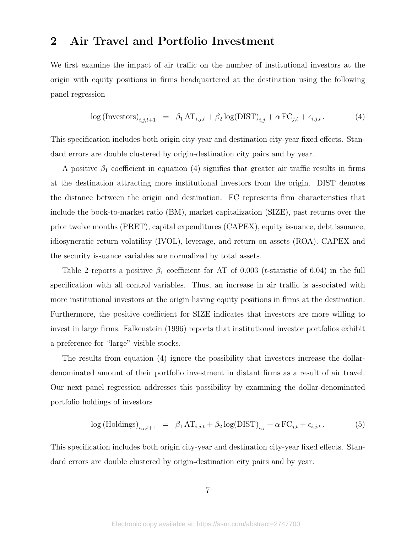# 2 Air Travel and Portfolio Investment

We first examine the impact of air traffic on the number of institutional investors at the origin with equity positions in firms headquartered at the destination using the following panel regression

$$
\log\left(\text{Investors}\right)_{i,j,t+1} = \beta_1 \operatorname{AT}_{i,j,t} + \beta_2 \log(\text{DIST})_{i,j} + \alpha \operatorname{FC}_{j,t} + \epsilon_{i,j,t}.
$$
 (4)

This specification includes both origin city-year and destination city-year fixed effects. Standard errors are double clustered by origin-destination city pairs and by year.

A positive  $\beta_1$  coefficient in equation (4) signifies that greater air traffic results in firms at the destination attracting more institutional investors from the origin. DIST denotes the distance between the origin and destination. FC represents firm characteristics that include the book-to-market ratio (BM), market capitalization (SIZE), past returns over the prior twelve months (PRET), capital expenditures (CAPEX), equity issuance, debt issuance, idiosyncratic return volatility (IVOL), leverage, and return on assets (ROA). CAPEX and the security issuance variables are normalized by total assets.

Table 2 reports a positive  $\beta_1$  coefficient for AT of 0.003 (*t*-statistic of 6.04) in the full specification with all control variables. Thus, an increase in air traffic is associated with more institutional investors at the origin having equity positions in firms at the destination. Furthermore, the positive coefficient for SIZE indicates that investors are more willing to invest in large firms. Falkenstein (1996) reports that institutional investor portfolios exhibit a preference for "large" visible stocks.

The results from equation (4) ignore the possibility that investors increase the dollardenominated amount of their portfolio investment in distant firms as a result of air travel. Our next panel regression addresses this possibility by examining the dollar-denominated portfolio holdings of investors

$$
\log (\text{Holdings})_{i,j,t+1} = \beta_1 \, \text{AT}_{i,j,t} + \beta_2 \log (\text{DIST})_{i,j} + \alpha \, \text{FC}_{j,t} + \epsilon_{i,j,t} \,. \tag{5}
$$

This specification includes both origin city-year and destination city-year fixed effects. Standard errors are double clustered by origin-destination city pairs and by year.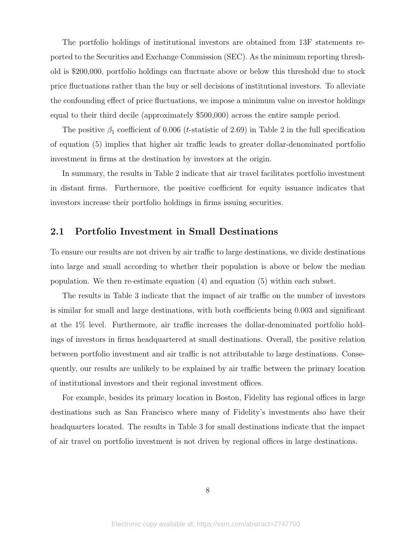The portfolio holdings of institutional investors are obtained from 13F statements reported to the Securities and Exchange Commission (SEC). As the minimum reporting threshold is \$200,000, portfolio holdings can fluctuate above or below this threshold due to stock price fluctuations rather than the buy or sell decisions of institutional investors. To alleviate the confounding effect of price fluctuations, we impose a minimum value on investor holdings equal to their third decile (approximately \$500,000) across the entire sample period.

The positive  $\beta_1$  coefficient of 0.006 (*t*-statistic of 2.69) in Table 2 in the full specification of equation (5) implies that higher air traffic leads to greater dollar-denominated portfolio investment in firms at the destination by investors at the origin.

In summary, the results in Table 2 indicate that air travel facilitates portfolio investment in distant firms. Furthermore, the positive coefficient for equity issuance indicates that investors increase their portfolio holdings in firms issuing securities.

### 2.1 Portfolio Investment in Small Destinations

To ensure our results are not driven by air traffic to large destinations, we divide destinations into large and small according to whether their population is above or below the median population. We then re-estimate equation (4) and equation (5) within each subset.

The results in Table 3 indicate that the impact of air traffic on the number of investors is similar for small and large destinations, with both coefficients being 0.003 and significant at the 1% level. Furthermore, air traffic increases the dollar-denominated portfolio holdings of investors in firms headquartered at small destinations. Overall, the positive relation between portfolio investment and air traffic is not attributable to large destinations. Consequently, our results are unlikely to be explained by air traffic between the primary location of institutional investors and their regional investment offices.

For example, besides its primary location in Boston, Fidelity has regional offices in large destinations such as San Francisco where many of Fidelity's investments also have their headquarters located. The results in Table 3 for small destinations indicate that the impact of air travel on portfolio investment is not driven by regional offices in large destinations.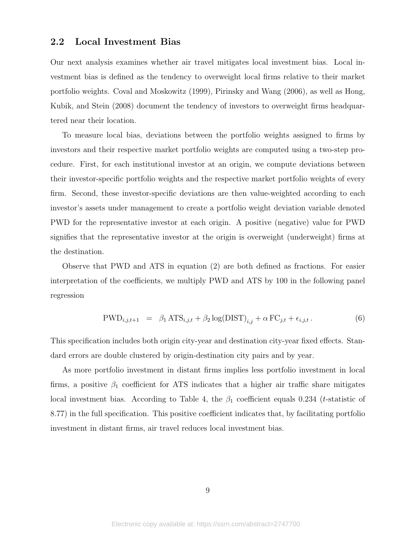### 2.2 Local Investment Bias

Our next analysis examines whether air travel mitigates local investment bias. Local investment bias is defined as the tendency to overweight local firms relative to their market portfolio weights. Coval and Moskowitz (1999), Pirinsky and Wang (2006), as well as Hong, Kubik, and Stein (2008) document the tendency of investors to overweight firms headquartered near their location.

To measure local bias, deviations between the portfolio weights assigned to firms by investors and their respective market portfolio weights are computed using a two-step procedure. First, for each institutional investor at an origin, we compute deviations between their investor-specific portfolio weights and the respective market portfolio weights of every firm. Second, these investor-specific deviations are then value-weighted according to each investor's assets under management to create a portfolio weight deviation variable denoted PWD for the representative investor at each origin. A positive (negative) value for PWD signifies that the representative investor at the origin is overweight (underweight) firms at the destination.

Observe that PWD and ATS in equation (2) are both defined as fractions. For easier interpretation of the coefficients, we multiply PWD and ATS by 100 in the following panel regression

$$
PWD_{i,j,t+1} = \beta_1 \, ATS_{i,j,t} + \beta_2 \log(DIST)_{i,j} + \alpha \, FC_{j,t} + \epsilon_{i,j,t} \,. \tag{6}
$$

This specification includes both origin city-year and destination city-year fixed effects. Standard errors are double clustered by origin-destination city pairs and by year.

As more portfolio investment in distant firms implies less portfolio investment in local firms, a positive  $\beta_1$  coefficient for ATS indicates that a higher air traffic share mitigates local investment bias. According to Table 4, the  $\beta_1$  coefficient equals 0.234 (*t*-statistic of 8.77) in the full specification. This positive coefficient indicates that, by facilitating portfolio investment in distant firms, air travel reduces local investment bias.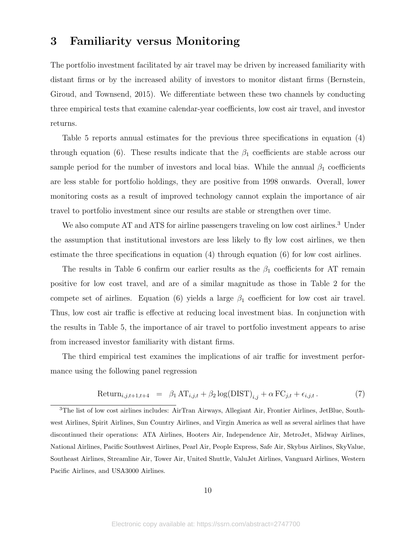# 3 Familiarity versus Monitoring

The portfolio investment facilitated by air travel may be driven by increased familiarity with distant firms or by the increased ability of investors to monitor distant firms (Bernstein, Giroud, and Townsend, 2015). We differentiate between these two channels by conducting three empirical tests that examine calendar-year coefficients, low cost air travel, and investor returns.

Table 5 reports annual estimates for the previous three specifications in equation (4) through equation (6). These results indicate that the  $\beta_1$  coefficients are stable across our sample period for the number of investors and local bias. While the annual  $\beta_1$  coefficients are less stable for portfolio holdings, they are positive from 1998 onwards. Overall, lower monitoring costs as a result of improved technology cannot explain the importance of air travel to portfolio investment since our results are stable or strengthen over time.

We also compute AT and ATS for airline passengers traveling on low cost airlines.<sup>3</sup> Under the assumption that institutional investors are less likely to fly low cost airlines, we then estimate the three specifications in equation (4) through equation (6) for low cost airlines.

The results in Table 6 confirm our earlier results as the  $\beta_1$  coefficients for AT remain positive for low cost travel, and are of a similar magnitude as those in Table 2 for the compete set of airlines. Equation (6) yields a large  $\beta_1$  coefficient for low cost air travel. Thus, low cost air traffic is effective at reducing local investment bias. In conjunction with the results in Table 5, the importance of air travel to portfolio investment appears to arise from increased investor familiarity with distant firms.

The third empirical test examines the implications of air traffic for investment performance using the following panel regression

$$
Return_{i,j,t+1,t+4} = \beta_1 AT_{i,j,t} + \beta_2 log(DIST)_{i,j} + \alpha FC_{j,t} + \epsilon_{i,j,t}.
$$
\n(7)

<sup>3</sup>The list of low cost airlines includes: AirTran Airways, Allegiant Air, Frontier Airlines, JetBlue, Southwest Airlines, Spirit Airlines, Sun Country Airlines, and Virgin America as well as several airlines that have discontinued their operations: ATA Airlines, Hooters Air, Independence Air, MetroJet, Midway Airlines, National Airlines, Pacific Southwest Airlines, Pearl Air, People Express, Safe Air, Skybus Airlines, SkyValue, Southeast Airlines, Streamline Air, Tower Air, United Shuttle, ValuJet Airlines, Vanguard Airlines, Western Pacific Airlines, and USA3000 Airlines.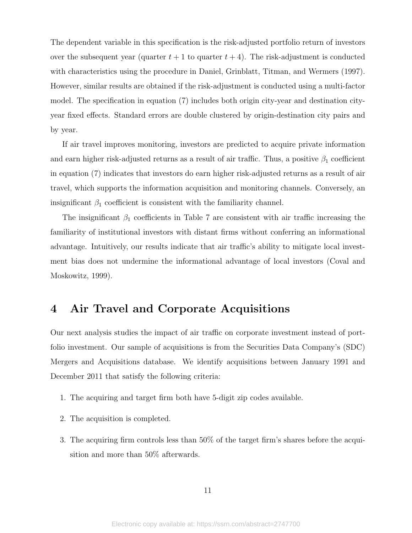The dependent variable in this specification is the risk-adjusted portfolio return of investors over the subsequent year (quarter  $t + 1$  to quarter  $t + 4$ ). The risk-adjustment is conducted with characteristics using the procedure in Daniel, Grinblatt, Titman, and Wermers (1997). However, similar results are obtained if the risk-adjustment is conducted using a multi-factor model. The specification in equation (7) includes both origin city-year and destination cityyear fixed effects. Standard errors are double clustered by origin-destination city pairs and by year.

If air travel improves monitoring, investors are predicted to acquire private information and earn higher risk-adjusted returns as a result of air traffic. Thus, a positive  $\beta_1$  coefficient in equation (7) indicates that investors do earn higher risk-adjusted returns as a result of air travel, which supports the information acquisition and monitoring channels. Conversely, an insignificant  $\beta_1$  coefficient is consistent with the familiarity channel.

The insignificant  $\beta_1$  coefficients in Table 7 are consistent with air traffic increasing the familiarity of institutional investors with distant firms without conferring an informational advantage. Intuitively, our results indicate that air traffic's ability to mitigate local investment bias does not undermine the informational advantage of local investors (Coval and Moskowitz, 1999).

# 4 Air Travel and Corporate Acquisitions

Our next analysis studies the impact of air traffic on corporate investment instead of portfolio investment. Our sample of acquisitions is from the Securities Data Company's (SDC) Mergers and Acquisitions database. We identify acquisitions between January 1991 and December 2011 that satisfy the following criteria:

- 1. The acquiring and target firm both have 5-digit zip codes available.
- 2. The acquisition is completed.
- 3. The acquiring firm controls less than 50% of the target firm's shares before the acquisition and more than 50% afterwards.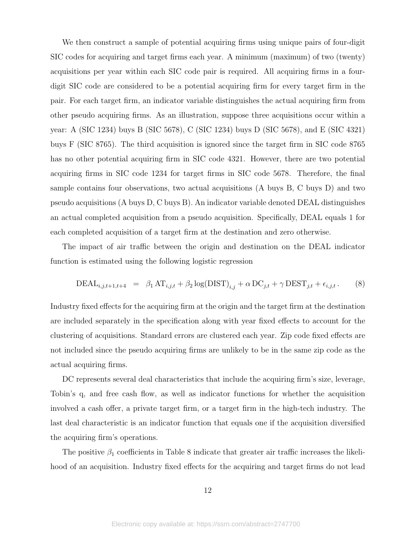We then construct a sample of potential acquiring firms using unique pairs of four-digit SIC codes for acquiring and target firms each year. A minimum (maximum) of two (twenty) acquisitions per year within each SIC code pair is required. All acquiring firms in a fourdigit SIC code are considered to be a potential acquiring firm for every target firm in the pair. For each target firm, an indicator variable distinguishes the actual acquiring firm from other pseudo acquiring firms. As an illustration, suppose three acquisitions occur within a year: A (SIC 1234) buys B (SIC 5678), C (SIC 1234) buys D (SIC 5678), and E (SIC 4321) buys F (SIC 8765). The third acquisition is ignored since the target firm in SIC code 8765 has no other potential acquiring firm in SIC code 4321. However, there are two potential acquiring firms in SIC code 1234 for target firms in SIC code 5678. Therefore, the final sample contains four observations, two actual acquisitions (A buys B, C buys D) and two pseudo acquisitions (A buys D, C buys B). An indicator variable denoted DEAL distinguishes an actual completed acquisition from a pseudo acquisition. Specifically, DEAL equals 1 for each completed acquisition of a target firm at the destination and zero otherwise.

The impact of air traffic between the origin and destination on the DEAL indicator function is estimated using the following logistic regression

$$
\text{DEAL}_{i,j,t+1,t+4} = \beta_1 \, \text{AT}_{i,j,t} + \beta_2 \log(\text{DIST})_{i,j} + \alpha \, \text{DC}_{j,t} + \gamma \, \text{DEST}_{j,t} + \epsilon_{i,j,t} \,. \tag{8}
$$

Industry fixed effects for the acquiring firm at the origin and the target firm at the destination are included separately in the specification along with year fixed effects to account for the clustering of acquisitions. Standard errors are clustered each year. Zip code fixed effects are not included since the pseudo acquiring firms are unlikely to be in the same zip code as the actual acquiring firms.

DC represents several deal characteristics that include the acquiring firm's size, leverage, Tobin's q, and free cash flow, as well as indicator functions for whether the acquisition involved a cash offer, a private target firm, or a target firm in the high-tech industry. The last deal characteristic is an indicator function that equals one if the acquisition diversified the acquiring firm's operations.

The positive  $\beta_1$  coefficients in Table 8 indicate that greater air traffic increases the likelihood of an acquisition. Industry fixed effects for the acquiring and target firms do not lead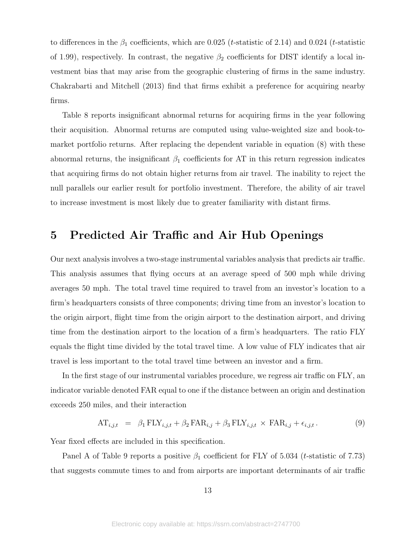to differences in the  $\beta_1$  coefficients, which are 0.025 (*t*-statistic of 2.14) and 0.024 (*t*-statistic of 1.99), respectively. In contrast, the negative  $\beta_2$  coefficients for DIST identify a local investment bias that may arise from the geographic clustering of firms in the same industry. Chakrabarti and Mitchell (2013) find that firms exhibit a preference for acquiring nearby firms.

Table 8 reports insignificant abnormal returns for acquiring firms in the year following their acquisition. Abnormal returns are computed using value-weighted size and book-tomarket portfolio returns. After replacing the dependent variable in equation (8) with these abnormal returns, the insignificant  $\beta_1$  coefficients for AT in this return regression indicates that acquiring firms do not obtain higher returns from air travel. The inability to reject the null parallels our earlier result for portfolio investment. Therefore, the ability of air travel to increase investment is most likely due to greater familiarity with distant firms.

# 5 Predicted Air Traffic and Air Hub Openings

Our next analysis involves a two-stage instrumental variables analysis that predicts air traffic. This analysis assumes that flying occurs at an average speed of 500 mph while driving averages 50 mph. The total travel time required to travel from an investor's location to a firm's headquarters consists of three components; driving time from an investor's location to the origin airport, flight time from the origin airport to the destination airport, and driving time from the destination airport to the location of a firm's headquarters. The ratio FLY equals the flight time divided by the total travel time. A low value of FLY indicates that air travel is less important to the total travel time between an investor and a firm.

In the first stage of our instrumental variables procedure, we regress air traffic on FLY, an indicator variable denoted FAR equal to one if the distance between an origin and destination exceeds 250 miles, and their interaction

$$
AT_{i,j,t} = \beta_1 FLY_{i,j,t} + \beta_2 FAR_{i,j} + \beta_3 FLY_{i,j,t} \times FAR_{i,j} + \epsilon_{i,j,t}.
$$
 (9)

Year fixed effects are included in this specification.

Panel A of Table 9 reports a positive  $\beta_1$  coefficient for FLY of 5.034 (*t*-statistic of 7.73) that suggests commute times to and from airports are important determinants of air traffic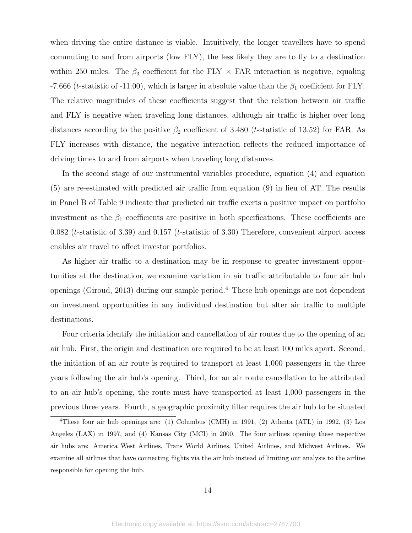when driving the entire distance is viable. Intuitively, the longer travellers have to spend commuting to and from airports (low FLY), the less likely they are to fly to a destination within 250 miles. The  $\beta_3$  coefficient for the FLY  $\times$  FAR interaction is negative, equaling -7.666 (t-statistic of -11.00), which is larger in absolute value than the  $\beta_1$  coefficient for FLY. The relative magnitudes of these coefficients suggest that the relation between air traffic and FLY is negative when traveling long distances, although air traffic is higher over long distances according to the positive  $\beta_2$  coefficient of 3.480 (*t*-statistic of 13.52) for FAR. As FLY increases with distance, the negative interaction reflects the reduced importance of driving times to and from airports when traveling long distances.

In the second stage of our instrumental variables procedure, equation (4) and equation (5) are re-estimated with predicted air traffic from equation (9) in lieu of AT. The results in Panel B of Table 9 indicate that predicted air traffic exerts a positive impact on portfolio investment as the  $\beta_1$  coefficients are positive in both specifications. These coefficients are  $0.082$  (*t*-statistic of 3.39) and  $0.157$  (*t*-statistic of 3.30) Therefore, convenient airport access enables air travel to affect investor portfolios.

As higher air traffic to a destination may be in response to greater investment opportunities at the destination, we examine variation in air traffic attributable to four air hub openings (Giroud, 2013) during our sample period.<sup>4</sup> These hub openings are not dependent on investment opportunities in any individual destination but alter air traffic to multiple destinations.

Four criteria identify the initiation and cancellation of air routes due to the opening of an air hub. First, the origin and destination are required to be at least 100 miles apart. Second, the initiation of an air route is required to transport at least 1,000 passengers in the three years following the air hub's opening. Third, for an air route cancellation to be attributed to an air hub's opening, the route must have transported at least 1,000 passengers in the previous three years. Fourth, a geographic proximity filter requires the air hub to be situated

<sup>4</sup>These four air hub openings are: (1) Columbus (CMH) in 1991, (2) Atlanta (ATL) in 1992, (3) Los Angeles (LAX) in 1997, and (4) Kansas City (MCI) in 2000. The four airlines opening these respective air hubs are: America West Airlines, Trans World Airlines, United Airlines, and Midwest Airlines. We examine all airlines that have connecting flights via the air hub instead of limiting our analysis to the airline responsible for opening the hub.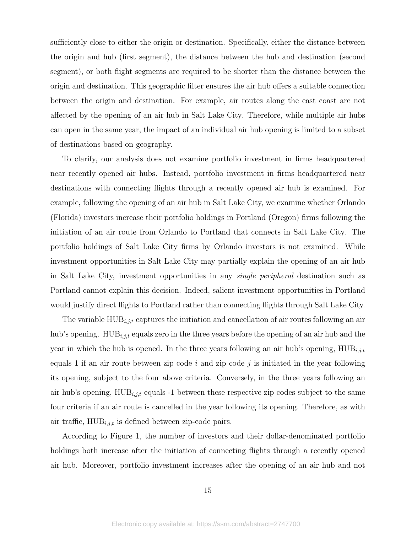sufficiently close to either the origin or destination. Specifically, either the distance between the origin and hub (first segment), the distance between the hub and destination (second segment), or both flight segments are required to be shorter than the distance between the origin and destination. This geographic filter ensures the air hub offers a suitable connection between the origin and destination. For example, air routes along the east coast are not affected by the opening of an air hub in Salt Lake City. Therefore, while multiple air hubs can open in the same year, the impact of an individual air hub opening is limited to a subset of destinations based on geography.

To clarify, our analysis does not examine portfolio investment in firms headquartered near recently opened air hubs. Instead, portfolio investment in firms headquartered near destinations with connecting flights through a recently opened air hub is examined. For example, following the opening of an air hub in Salt Lake City, we examine whether Orlando (Florida) investors increase their portfolio holdings in Portland (Oregon) firms following the initiation of an air route from Orlando to Portland that connects in Salt Lake City. The portfolio holdings of Salt Lake City firms by Orlando investors is not examined. While investment opportunities in Salt Lake City may partially explain the opening of an air hub in Salt Lake City, investment opportunities in any single peripheral destination such as Portland cannot explain this decision. Indeed, salient investment opportunities in Portland would justify direct flights to Portland rather than connecting flights through Salt Lake City.

The variable  $HUB_{i,j,t}$  captures the initiation and cancellation of air routes following an air hub's opening.  $HUB_{i,j,t}$  equals zero in the three years before the opening of an air hub and the year in which the hub is opened. In the three years following an air hub's opening,  $HUB_{i,j,t}$ equals 1 if an air route between zip code i and zip code j is initiated in the year following its opening, subject to the four above criteria. Conversely, in the three years following an air hub's opening,  $HUB_{i,j,t}$  equals -1 between these respective zip codes subject to the same four criteria if an air route is cancelled in the year following its opening. Therefore, as with air traffic,  $HUB_{i,j,t}$  is defined between zip-code pairs.

According to Figure 1, the number of investors and their dollar-denominated portfolio holdings both increase after the initiation of connecting flights through a recently opened air hub. Moreover, portfolio investment increases after the opening of an air hub and not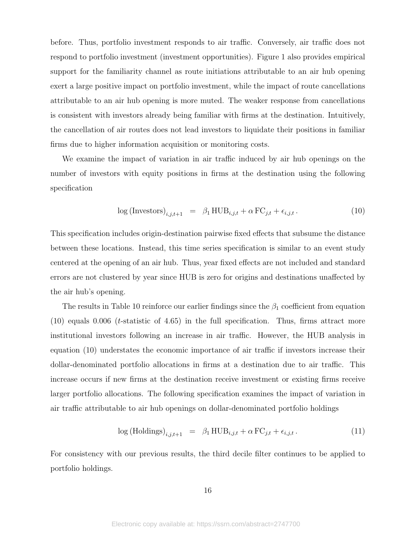before. Thus, portfolio investment responds to air traffic. Conversely, air traffic does not respond to portfolio investment (investment opportunities). Figure 1 also provides empirical support for the familiarity channel as route initiations attributable to an air hub opening exert a large positive impact on portfolio investment, while the impact of route cancellations attributable to an air hub opening is more muted. The weaker response from cancellations is consistent with investors already being familiar with firms at the destination. Intuitively, the cancellation of air routes does not lead investors to liquidate their positions in familiar firms due to higher information acquisition or monitoring costs.

We examine the impact of variation in air traffic induced by air hub openings on the number of investors with equity positions in firms at the destination using the following specification

$$
\log\left(\text{Investors}\right)_{i,j,t+1} = \beta_1 \text{HUB}_{i,j,t} + \alpha \text{FC}_{j,t} + \epsilon_{i,j,t}.
$$
\n(10)

This specification includes origin-destination pairwise fixed effects that subsume the distance between these locations. Instead, this time series specification is similar to an event study centered at the opening of an air hub. Thus, year fixed effects are not included and standard errors are not clustered by year since HUB is zero for origins and destinations unaffected by the air hub's opening.

The results in Table 10 reinforce our earlier findings since the  $\beta_1$  coefficient from equation  $(10)$  equals 0.006 (*t*-statistic of 4.65) in the full specification. Thus, firms attract more institutional investors following an increase in air traffic. However, the HUB analysis in equation (10) understates the economic importance of air traffic if investors increase their dollar-denominated portfolio allocations in firms at a destination due to air traffic. This increase occurs if new firms at the destination receive investment or existing firms receive larger portfolio allocations. The following specification examines the impact of variation in air traffic attributable to air hub openings on dollar-denominated portfolio holdings

$$
\log(\text{Holdings})_{i,j,t+1} = \beta_1 \text{HUB}_{i,j,t} + \alpha \text{FC}_{j,t} + \epsilon_{i,j,t}.
$$
\n
$$
(11)
$$

For consistency with our previous results, the third decile filter continues to be applied to portfolio holdings.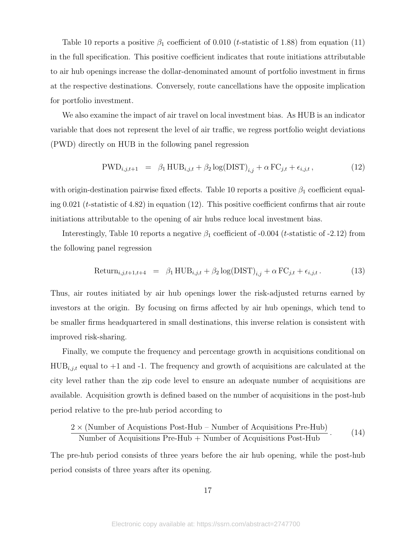Table 10 reports a positive  $\beta_1$  coefficient of 0.010 (*t*-statistic of 1.88) from equation (11) in the full specification. This positive coefficient indicates that route initiations attributable to air hub openings increase the dollar-denominated amount of portfolio investment in firms at the respective destinations. Conversely, route cancellations have the opposite implication for portfolio investment.

We also examine the impact of air travel on local investment bias. As HUB is an indicator variable that does not represent the level of air traffic, we regress portfolio weight deviations (PWD) directly on HUB in the following panel regression

$$
PWD_{i,j,t+1} = \beta_1 HUB_{i,j,t} + \beta_2 \log(DIST)_{i,j} + \alpha FC_{j,t} + \epsilon_{i,j,t},
$$
\n(12)

with origin-destination pairwise fixed effects. Table 10 reports a positive  $\beta_1$  coefficient equaling 0.021 (*t*-statistic of 4.82) in equation (12). This positive coefficient confirms that air route initiations attributable to the opening of air hubs reduce local investment bias.

Interestingly, Table 10 reports a negative  $\beta_1$  coefficient of -0.004 (*t*-statistic of -2.12) from the following panel regression

$$
Return_{i,j,t+1,t+4} = \beta_1 HUB_{i,j,t} + \beta_2 \log(DIST)_{i,j} + \alpha FC_{j,t} + \epsilon_{i,j,t}.
$$
 (13)

Thus, air routes initiated by air hub openings lower the risk-adjusted returns earned by investors at the origin. By focusing on firms affected by air hub openings, which tend to be smaller firms headquartered in small destinations, this inverse relation is consistent with improved risk-sharing.

Finally, we compute the frequency and percentage growth in acquisitions conditional on  $HUB_{i,j,t}$  equal to  $+1$  and  $-1$ . The frequency and growth of acquisitions are calculated at the city level rather than the zip code level to ensure an adequate number of acquisitions are available. Acquisition growth is defined based on the number of acquisitions in the post-hub period relative to the pre-hub period according to

$$
\frac{2 \times (\text{Number of Acquisitions Post-Hub} - \text{Number of Acquisitions Pre-Hub})}{\text{Number of Acquisitions Pre-Hub} + \text{Number of Acquisitions Post-Hub}}.
$$
 (14)

The pre-hub period consists of three years before the air hub opening, while the post-hub period consists of three years after its opening.

17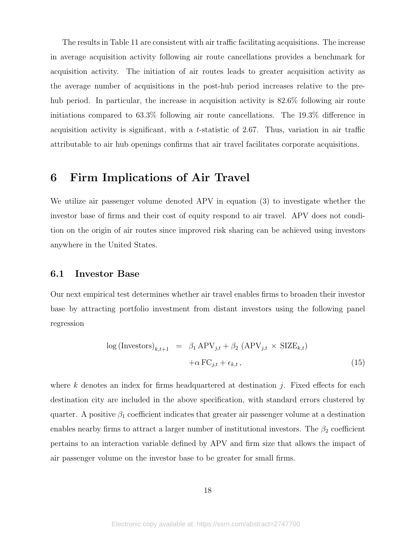The results in Table 11 are consistent with air traffic facilitating acquisitions. The increase in average acquisition activity following air route cancellations provides a benchmark for acquisition activity. The initiation of air routes leads to greater acquisition activity as the average number of acquisitions in the post-hub period increases relative to the prehub period. In particular, the increase in acquisition activity is 82.6% following air route initiations compared to 63.3% following air route cancellations. The 19.3% difference in acquisition activity is significant, with a t-statistic of 2.67. Thus, variation in air traffic attributable to air hub openings confirms that air travel facilitates corporate acquisitions.

## 6 Firm Implications of Air Travel

We utilize air passenger volume denoted APV in equation (3) to investigate whether the investor base of firms and their cost of equity respond to air travel. APV does not condition on the origin of air routes since improved risk sharing can be achieved using investors anywhere in the United States.

### 6.1 Investor Base

Our next empirical test determines whether air travel enables firms to broaden their investor base by attracting portfolio investment from distant investors using the following panel regression

$$
\log\left(\text{Investors}\right)_{k,t+1} = \beta_1 \text{APV}_{j,t} + \beta_2 \left(\text{APV}_{j,t} \times \text{SIZE}_{k,t}\right) \\
+ \alpha \text{FC}_{j,t} + \epsilon_{k,t},
$$
\n(15)

where k denotes an index for firms headquartered at destination j. Fixed effects for each destination city are included in the above specification, with standard errors clustered by quarter. A positive  $\beta_1$  coefficient indicates that greater air passenger volume at a destination enables nearby firms to attract a larger number of institutional investors. The  $\beta_2$  coefficient pertains to an interaction variable defined by APV and firm size that allows the impact of air passenger volume on the investor base to be greater for small firms.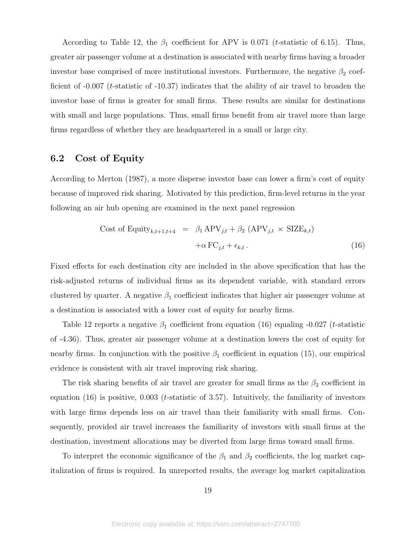According to Table 12, the  $\beta_1$  coefficient for APV is 0.071 (*t*-statistic of 6.15). Thus, greater air passenger volume at a destination is associated with nearby firms having a broader investor base comprised of more institutional investors. Furthermore, the negative  $\beta_2$  coefficient of  $-0.007$  (*t*-statistic of  $-10.37$ ) indicates that the ability of air travel to broaden the investor base of firms is greater for small firms. These results are similar for destinations with small and large populations. Thus, small firms benefit from air travel more than large firms regardless of whether they are headquartered in a small or large city.

### 6.2 Cost of Equity

According to Merton (1987), a more disperse investor base can lower a firm's cost of equity because of improved risk sharing. Motivated by this prediction, firm-level returns in the year following an air hub opening are examined in the next panel regression

Cost of Equity<sub>k,t+1,t+4</sub> = 
$$
\beta_1 \text{APV}_{j,t} + \beta_2 \text{ (APV}_{j,t} \times \text{SIZE}_{k,t})
$$
  
  $+\alpha \text{ FC}_{j,t} + \epsilon_{k,t}.$  (16)

Fixed effects for each destination city are included in the above specification that has the risk-adjusted returns of individual firms as its dependent variable, with standard errors clustered by quarter. A negative  $\beta_1$  coefficient indicates that higher air passenger volume at a destination is associated with a lower cost of equity for nearby firms.

Table 12 reports a negative  $\beta_1$  coefficient from equation (16) equaling -0.027 (*t*-statistic of -4.36). Thus, greater air passenger volume at a destination lowers the cost of equity for nearby firms. In conjunction with the positive  $\beta_1$  coefficient in equation (15), our empirical evidence is consistent with air travel improving risk sharing.

The risk sharing benefits of air travel are greater for small firms as the  $\beta_2$  coefficient in equation  $(16)$  is positive, 0.003 (*t*-statistic of 3.57). Intuitively, the familiarity of investors with large firms depends less on air travel than their familiarity with small firms. Consequently, provided air travel increases the familiarity of investors with small firms at the destination, investment allocations may be diverted from large firms toward small firms.

To interpret the economic significance of the  $\beta_1$  and  $\beta_2$  coefficients, the log market capitalization of firms is required. In unreported results, the average log market capitalization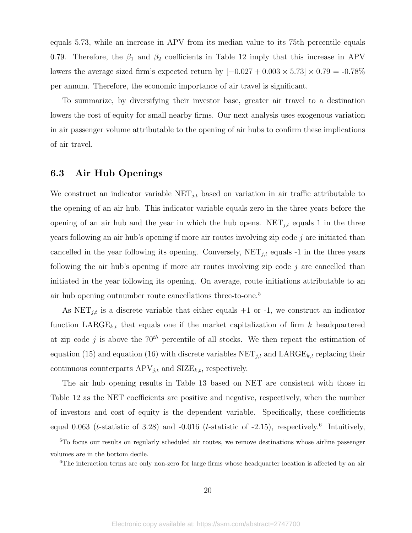equals 5.73, while an increase in APV from its median value to its 75th percentile equals 0.79. Therefore, the  $\beta_1$  and  $\beta_2$  coefficients in Table 12 imply that this increase in APV lowers the average sized firm's expected return by  $[-0.027 + 0.003 \times 5.73] \times 0.79 = -0.78\%$ per annum. Therefore, the economic importance of air travel is significant.

To summarize, by diversifying their investor base, greater air travel to a destination lowers the cost of equity for small nearby firms. Our next analysis uses exogenous variation in air passenger volume attributable to the opening of air hubs to confirm these implications of air travel.

### 6.3 Air Hub Openings

We construct an indicator variable  $NET_{j,t}$  based on variation in air traffic attributable to the opening of an air hub. This indicator variable equals zero in the three years before the opening of an air hub and the year in which the hub opens.  $NET_{i,t}$  equals 1 in the three years following an air hub's opening if more air routes involving zip code  $j$  are initiated than cancelled in the year following its opening. Conversely,  $NET_{j,t}$  equals -1 in the three years following the air hub's opening if more air routes involving zip code  $j$  are cancelled than initiated in the year following its opening. On average, route initiations attributable to an air hub opening outnumber route cancellations three-to-one.<sup>5</sup>

As  $NET_{j,t}$  is a discrete variable that either equals  $+1$  or  $-1$ , we construct an indicator function  $\text{LARGE}_{k,t}$  that equals one if the market capitalization of firm k headquartered at zip code j is above the  $70<sup>th</sup>$  percentile of all stocks. We then repeat the estimation of equation (15) and equation (16) with discrete variables  $NET_{j,t}$  and  $LARGE_{k,t}$  replacing their continuous counterparts  $APV_{j,t}$  and  $SIZE_{k,t}$ , respectively.

The air hub opening results in Table 13 based on NET are consistent with those in Table 12 as the NET coefficients are positive and negative, respectively, when the number of investors and cost of equity is the dependent variable. Specifically, these coefficients equal 0.063 (*t*-statistic of 3.28) and -0.016 (*t*-statistic of -2.15), respectively.<sup>6</sup> Intuitively,

<sup>5</sup>To focus our results on regularly scheduled air routes, we remove destinations whose airline passenger volumes are in the bottom decile.

<sup>6</sup>The interaction terms are only non-zero for large firms whose headquarter location is affected by an air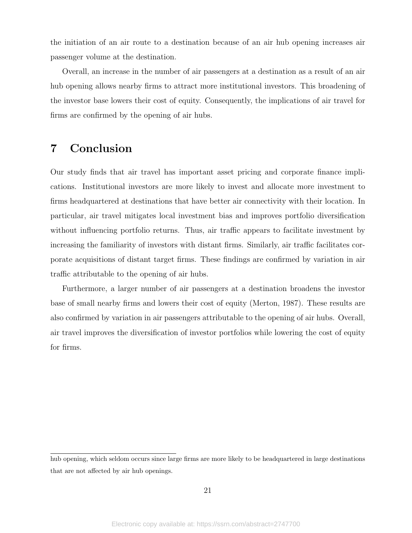the initiation of an air route to a destination because of an air hub opening increases air passenger volume at the destination.

Overall, an increase in the number of air passengers at a destination as a result of an air hub opening allows nearby firms to attract more institutional investors. This broadening of the investor base lowers their cost of equity. Consequently, the implications of air travel for firms are confirmed by the opening of air hubs.

# 7 Conclusion

Our study finds that air travel has important asset pricing and corporate finance implications. Institutional investors are more likely to invest and allocate more investment to firms headquartered at destinations that have better air connectivity with their location. In particular, air travel mitigates local investment bias and improves portfolio diversification without influencing portfolio returns. Thus, air traffic appears to facilitate investment by increasing the familiarity of investors with distant firms. Similarly, air traffic facilitates corporate acquisitions of distant target firms. These findings are confirmed by variation in air traffic attributable to the opening of air hubs.

Furthermore, a larger number of air passengers at a destination broadens the investor base of small nearby firms and lowers their cost of equity (Merton, 1987). These results are also confirmed by variation in air passengers attributable to the opening of air hubs. Overall, air travel improves the diversification of investor portfolios while lowering the cost of equity for firms.

hub opening, which seldom occurs since large firms are more likely to be headquartered in large destinations that are not affected by air hub openings.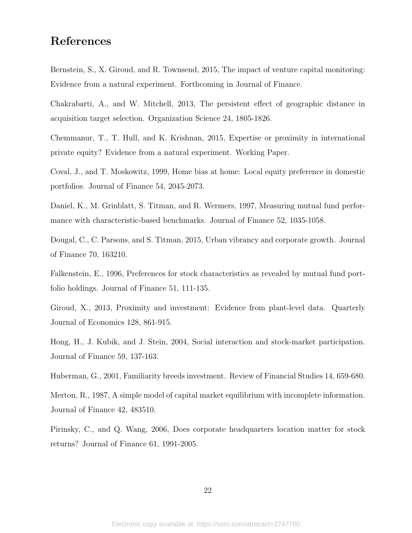# References

Bernstein, S., X. Giroud, and R. Townsend, 2015, The impact of venture capital monitoring: Evidence from a natural experiment. Forthcoming in Journal of Finance.

Chakrabarti, A., and W. Mitchell, 2013, The persistent effect of geographic distance in acquisition target selection. Organization Science 24, 1805-1826.

Chemmanur, T., T. Hull, and K. Krishnan, 2015, Expertise or proximity in international private equity? Evidence from a natural experiment. Working Paper.

Coval, J., and T. Moskowitz, 1999, Home bias at home: Local equity preference in domestic portfolios. Journal of Finance 54, 2045-2073.

Daniel, K., M. Grinblatt, S. Titman, and R. Wermers, 1997, Measuring mutual fund performance with characteristic-based benchmarks. Journal of Finance 52, 1035-1058.

Dougal, C., C. Parsons, and S. Titman, 2015, Urban vibrancy and corporate growth. Journal of Finance 70, 163210.

Falkenstein, E., 1996, Preferences for stock characteristics as revealed by mutual fund portfolio holdings. Journal of Finance 51, 111-135.

Giroud, X., 2013, Proximity and investment: Evidence from plant-level data. Quarterly Journal of Economics 128, 861-915.

Hong, H., J. Kubik, and J. Stein, 2004, Social interaction and stock-market participation. Journal of Finance 59, 137-163.

Huberman, G., 2001, Familiarity breeds investment. Review of Financial Studies 14, 659-680.

Merton, R., 1987, A simple model of capital market equilibrium with incomplete information. Journal of Finance 42, 483510.

Pirinsky, C., and Q. Wang, 2006, Does corporate headquarters location matter for stock returns? Journal of Finance 61, 1991-2005.

22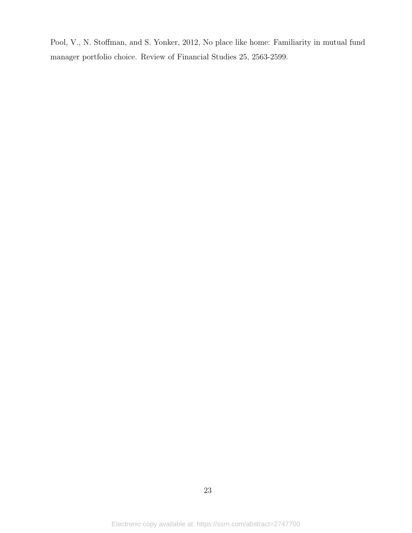Pool, V., N. Stoffman, and S. Yonker, 2012, No place like home: Familiarity in mutual fund manager portfolio choice. Review of Financial Studies 25, 2563-2599.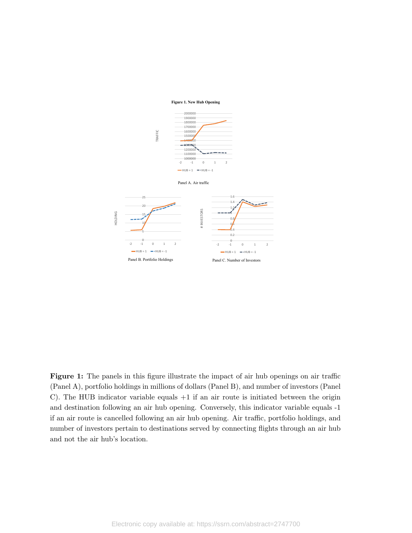### **Figure 1. New Hub Opening**



Figure 1: The panels in this figure illustrate the impact of air hub openings on air traffic (Panel A), portfolio holdings in millions of dollars (Panel B), and number of investors (Panel C). The HUB indicator variable equals  $+1$  if an air route is initiated between the origin and destination following an air hub opening. Conversely, this indicator variable equals -1 if an air route is cancelled following an air hub opening. Air traffic, portfolio holdings, and number of investors pertain to destinations served by connecting flights through an air hub and not the air hub's location.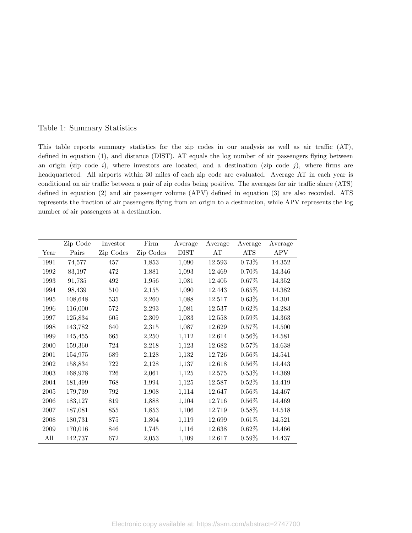### Table 1: Summary Statistics

This table reports summary statistics for the zip codes in our analysis as well as air traffic (AT), defined in equation (1), and distance (DIST). AT equals the log number of air passengers flying between an origin (zip code  $i$ ), where investors are located, and a destination (zip code  $j$ ), where firms are headquartered. All airports within 30 miles of each zip code are evaluated. Average AT in each year is conditional on air traffic between a pair of zip codes being positive. The averages for air traffic share (ATS) defined in equation (2) and air passenger volume (APV) defined in equation (3) are also recorded. ATS represents the fraction of air passengers flying from an origin to a destination, while APV represents the log number of air passengers at a destination.

|      | Zip Code | Investor  | Firm      | Average     | Average | Average    | Average    |
|------|----------|-----------|-----------|-------------|---------|------------|------------|
| Year | Pairs    | Zip Codes | Zip Codes | <b>DIST</b> | AT      | <b>ATS</b> | <b>APV</b> |
| 1991 | 74,577   | 457       | 1,853     | 1,090       | 12.593  | $0.73\%$   | 14.352     |
| 1992 | 83,197   | 472       | 1,881     | 1,093       | 12.469  | $0.70\%$   | 14.346     |
| 1993 | 91,735   | 492       | 1,956     | 1,081       | 12.405  | 0.67%      | 14.352     |
| 1994 | 98,439   | 510       | 2,155     | 1,090       | 12.443  | $0.65\%$   | 14.382     |
| 1995 | 108,648  | 535       | 2,260     | 1,088       | 12.517  | $0.63\%$   | 14.301     |
| 1996 | 116,000  | 572       | 2,293     | 1,081       | 12.537  | $0.62\%$   | 14.283     |
| 1997 | 125,834  | 605       | 2,309     | 1,083       | 12.558  | $0.59\%$   | 14.363     |
| 1998 | 143,782  | 640       | 2,315     | 1,087       | 12.629  | $0.57\%$   | 14.500     |
| 1999 | 145,455  | 665       | 2,250     | 1,112       | 12.614  | $0.56\%$   | 14.581     |
| 2000 | 159,360  | 724       | 2,218     | 1,123       | 12.682  | $0.57\%$   | 14.638     |
| 2001 | 154,975  | 689       | 2,128     | 1,132       | 12.726  | $0.56\%$   | 14.541     |
| 2002 | 158,834  | 722       | 2,128     | 1,137       | 12.618  | $0.56\%$   | 14.443     |
| 2003 | 168,978  | 726       | 2,061     | 1,125       | 12.575  | $0.53\%$   | 14.369     |
| 2004 | 181,499  | 768       | 1,994     | 1,125       | 12.587  | $0.52\%$   | 14.419     |
| 2005 | 179,739  | 792       | 1,908     | 1,114       | 12.647  | $0.56\%$   | 14.467     |
| 2006 | 183,127  | 819       | 1,888     | 1,104       | 12.716  | $0.56\%$   | 14.469     |
| 2007 | 187,081  | 855       | 1,853     | 1,106       | 12.719  | $0.58\%$   | 14.518     |
| 2008 | 180,731  | 875       | 1,804     | 1,119       | 12.699  | 0.61%      | 14.521     |
| 2009 | 170,016  | 846       | 1,745     | 1,116       | 12.638  | $0.62\%$   | 14.466     |
| All  | 142,737  | 672       | 2,053     | 1,109       | 12.617  | $0.59\%$   | 14.437     |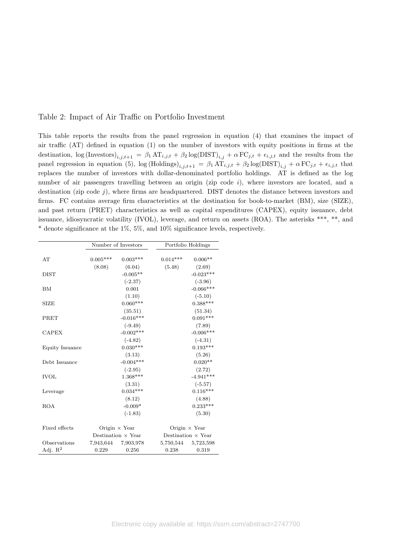### Table 2: Impact of Air Traffic on Portfolio Investment

This table reports the results from the panel regression in equation (4) that examines the impact of air traffic (AT) defined in equation (1) on the number of investors with equity positions in firms at the destination,  $\log(\text{Investors})_{i,j,t+1} = \beta_1 \text{AT}_{i,j,t} + \beta_2 \log(\text{DIST})_{i,j} + \alpha \text{FC}_{j,t} + \epsilon_{i,j,t}$  and the results from the panel regression in equation (5),  $\log(\text{Holdings})_{i,j,t+1} = \beta_1 \widetilde{\text{AT}}_{i,j,t} + \beta_2 \log(\text{DIST})_{i,j} + \alpha \text{FC}_{j,t} + \epsilon_{i,j,t}$  that replaces the number of investors with dollar-denominated portfolio holdings. AT is defined as the log number of air passengers travelling between an origin (zip code  $i$ ), where investors are located, and a destination (zip code  $j$ ), where firms are headquartered. DIST denotes the distance between investors and firms. FC contains average firm characteristics at the destination for book-to-market (BM), size (SIZE), and past return (PRET) characteristics as well as capital expenditures (CAPEX), equity issuance, debt issuance, idiosyncratic volatility (IVOL), leverage, and return on assets (ROA). The asterisks \*\*\*, \*\*, and \* denote significance at the 1%, 5%, and 10% significance levels, respectively.

|                 |            | Number of Investors       |            | Portfolio Holdings        |
|-----------------|------------|---------------------------|------------|---------------------------|
|                 |            |                           |            |                           |
| AT              | $0.005***$ | $0.003***$                | $0.014***$ | $0.006**$                 |
|                 | (8.08)     | (6.04)                    | (5.48)     | (2.69)                    |
| <b>DIST</b>     |            | $-0.005**$                |            | $-0.023***$               |
|                 |            | $(-2.37)$                 |            | $(-3.96)$                 |
| BM              |            | 0.001                     |            | $-0.066***$               |
|                 |            | (1.10)                    |            | $(-5.10)$                 |
| <b>SIZE</b>     |            | $0.060***$                |            | $0.388***$                |
|                 |            | (35.51)                   |            | (51.34)                   |
| PRET            |            | $-0.016***$               |            | $0.091***$                |
|                 |            | $(-9.49)$                 |            | (7.89)                    |
| <b>CAPEX</b>    |            | $-0.002***$               |            | $-0.006***$               |
|                 |            | $(-4.82)$                 |            | $(-4.31)$                 |
| Equity Issuance |            | $0.030***$                |            | $0.193***$                |
|                 |            | (3.13)                    |            | (5.26)                    |
| Debt Issuance   |            | $-0.004***$               |            | $0.020**$                 |
|                 |            | $(-2.95)$                 |            | (2.72)                    |
| <b>IVOL</b>     |            | $1.368***$                |            | $-4.941***$               |
|                 |            | (3.31)                    |            | $(-5.57)$                 |
| Leverage        |            | $0.034***$                |            | $0.116***$                |
|                 |            | (8.12)                    |            | (4.88)                    |
| <b>ROA</b>      |            | $-0.009*$                 |            | $0.233***$                |
|                 |            | $(-1.83)$                 |            | (5.30)                    |
| Fixed effects   |            | Origin $\times$ Year      |            | Origin $\times$ Year      |
|                 |            | Destination $\times$ Year |            | Destination $\times$ Year |
| Observations    | 7,943,644  | 7,903,978                 | 5,750,544  | 5,723,598                 |
| Adj. $R^2$      | 0.229      | 0.256                     | 0.238      | 0.319                     |
|                 |            |                           |            |                           |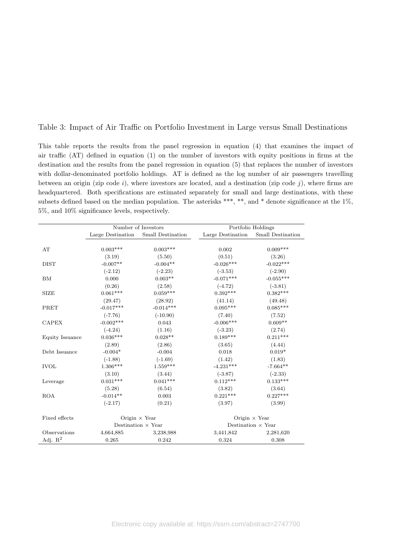### Table 3: Impact of Air Traffic on Portfolio Investment in Large versus Small Destinations

This table reports the results from the panel regression in equation (4) that examines the impact of air traffic (AT) defined in equation (1) on the number of investors with equity positions in firms at the destination and the results from the panel regression in equation (5) that replaces the number of investors with dollar-denominated portfolio holdings. AT is defined as the log number of air passengers travelling between an origin (zip code i), where investors are located, and a destination (zip code j), where firms are headquartered. Both specifications are estimated separately for small and large destinations, with these subsets defined based on the median population. The asterisks \*\*\*, \*\*, and \* denote significance at the 1%, 5%, and 10% significance levels, respectively.

|                     | Number of Investors |                           |                   | Portfolio Holdings        |
|---------------------|---------------------|---------------------------|-------------------|---------------------------|
|                     | Large Destination   | Small Destination         | Large Destination | Small Destination         |
|                     |                     |                           |                   |                           |
| AT                  | $0.003***$          | $0.003***$                | 0.002             | $0.009***$                |
|                     | (3.19)              | (5.50)                    | (0.51)            | (3.26)                    |
| <b>DIST</b>         | $-0.007**$          | $-0.004**$                | $-0.026***$       | $-0.022***$               |
|                     | $(-2.12)$           | $(-2.23)$                 | $(-3.53)$         | $(-2.90)$                 |
| BM                  | 0.000               | $0.003**$                 | $-0.071***$       | $-0.055***$               |
|                     | (0.26)              | (2.58)                    | $(-4.72)$         | $(-3.81)$                 |
| <b>SIZE</b>         | $0.061***$          | $0.059***$                | $0.392***$        | $0.382***$                |
|                     | (29.47)             | (28.92)                   | (41.14)           | (49.48)                   |
| PRET                | $-0.017***$         | $-0.014***$               | $0.095***$        | $0.085***$                |
|                     | $(-7.76)$           | $(-10.90)$                | (7.40)            | (7.52)                    |
| <b>CAPEX</b>        | $-0.002***$         | 0.043                     | $-0.006***$       | $0.609**$                 |
|                     | $(-4.24)$           | (1.16)                    | $(-3.23)$         | (2.74)                    |
| Equity Issuance     | $0.036***$          | $0.028**$                 | $0.189***$        | $0.211***$                |
|                     | (2.89)              | (2.86)                    | (3.65)            | (4.44)                    |
| Debt Issuance       | $-0.004*$           | $-0.004$                  | 0.018             | $0.019*$                  |
|                     | $(-1.88)$           | $(-1.69)$                 | (1.42)            | (1.83)                    |
| <b>IVOL</b>         | $1.306***$          | $1.559***$                | $-4.231***$       | $-7.664**$                |
|                     | (3.10)              | (3.44)                    | $(-3.87)$         | $(-2.33)$                 |
| Leverage            | $0.031***$          | $0.041***$                | $0.112***$        | $0.133***$                |
|                     | (5.28)              | (6.54)                    | (3.82)            | (3.64)                    |
| <b>ROA</b>          | $-0.014**$          | 0.003                     | $0.221***$        | $0.227***$                |
|                     | $(-2.17)$           | (0.21)                    | (3.97)            | (3.99)                    |
| Fixed effects       |                     | Origin $\times$ Year      |                   | Origin $\times$ Year      |
|                     |                     | Destination $\times$ Year |                   | Destination $\times$ Year |
| Observations        | 4,664,885           | 3,238,988                 | 3,441,842         | 2,281,620                 |
| Adj. $\mathbf{R}^2$ | 0.265               | 0.242                     | 0.324             | 0.308                     |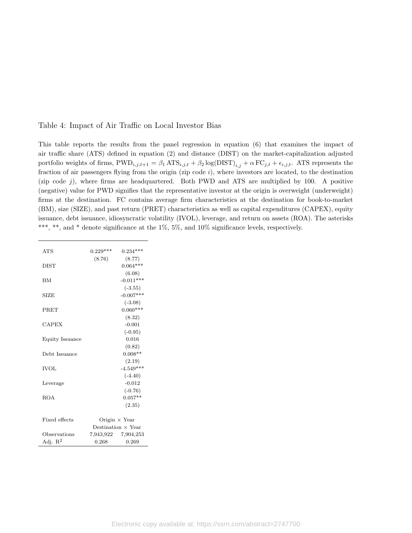### Table 4: Impact of Air Traffic on Local Investor Bias

This table reports the results from the panel regression in equation (6) that examines the impact of air traffic share (ATS) defined in equation (2) and distance (DIST) on the market-capitalization adjusted portfolio weights of firms,  $\text{PWD}_{i,j,t+1} = \beta_1 \text{ATS}_{i,j,t} + \beta_2 \log(\text{DIST})_{i,j} + \alpha \text{FC}_{j,t} + \epsilon_{i,j,t}$ . ATS represents the fraction of air passengers flying from the origin (zip code  $i$ ), where investors are located, to the destination (zip code  $j$ ), where firms are headquartered. Both PWD and ATS are multiplied by 100. A positive (negative) value for PWD signifies that the representative investor at the origin is overweight (underweight) firms at the destination. FC contains average firm characteristics at the destination for book-to-market (BM), size (SIZE), and past return (PRET) characteristics as well as capital expenditures (CAPEX), equity issuance, debt issuance, idiosyncratic volatility (IVOL), leverage, and return on assets (ROA). The asterisks \*\*\*, \*\*, and \* denote significance at the  $1\%$ ,  $5\%$ , and  $10\%$  significance levels, respectively.

| <b>ATS</b>          | $0.229***$ | $0.234***$                |
|---------------------|------------|---------------------------|
|                     | (8.76)     | (8.77)                    |
| <b>DIST</b>         |            | $0.064***$                |
|                     |            | (6.08)                    |
| <b>BM</b>           |            | $-0.011***$               |
|                     |            | $(-3.55)$                 |
| <b>SIZE</b>         |            | $-0.007***$               |
|                     |            | $(-3.08)$                 |
| <b>PRET</b>         |            | $0.060***$                |
|                     |            | (8.32)                    |
| <b>CAPEX</b>        |            | $-0.001$                  |
|                     |            | $(-0.95)$                 |
| Equity Issuance     |            | 0.016                     |
|                     |            | (0.82)                    |
| Debt Issuance       |            | $0.008**$                 |
|                     |            | (2.19)                    |
| <b>IVOL</b>         |            | $-4.549***$               |
|                     |            | $(-4.40)$                 |
| Leverage            |            | $-0.012$                  |
|                     |            | $(-0.76)$                 |
| <b>ROA</b>          |            | $0.057**$                 |
|                     |            | (2.35)                    |
|                     |            |                           |
| Fixed effects       |            | Origin $\times$ Year      |
|                     |            | Destination $\times$ Year |
| Observations        |            | 7,943,922 7,904,253       |
| Adj. $\mathbb{R}^2$ | 0.268      | 0.269                     |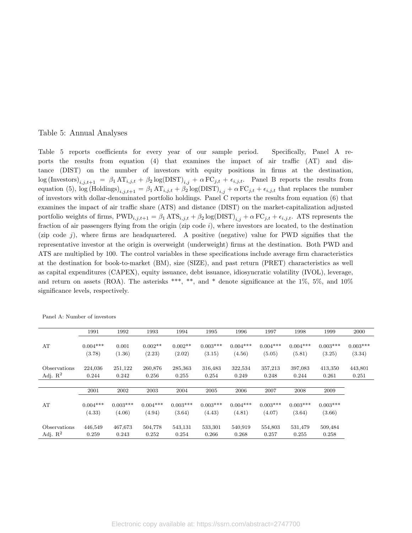### Table 5: Annual Analyses

Table 5 reports coefficients for every year of our sample period. Specifically, Panel A reports the results from equation (4) that examines the impact of air traffic (AT) and distance (DIST) on the number of investors with equity positions in firms at the destination,  $\log(\text{Investors})_{i,j,t+1} = \beta_1 \, \text{AT}_{i,j,t} + \beta_2 \log(\text{DIST})_{i,j} + \alpha \, \text{FC}_{j,t} + \epsilon_{i,j,t}.$  Panel B reports the results from equation (5), log (Holdings)<sub>i,j,t+1</sub> =  $\beta_1 A T_{i,j,t} + \beta_2 \log(DIST)_{i,j} + \alpha FC_{j,t} + \epsilon_{i,j,t}$  that replaces the number of investors with dollar-denominated portfolio holdings. Panel C reports the results from equation (6) that examines the impact of air traffic share (ATS) and distance (DIST) on the market-capitalization adjusted portfolio weights of firms,  $\text{PWD}_{i,j,t+1} = \beta_1 \text{ATS}_{i,j,t} + \beta_2 \log(\text{DIST})_{i,j} + \alpha \text{FC}_{j,t} + \epsilon_{i,j,t}$ . ATS represents the fraction of air passengers flying from the origin (zip code  $i$ ), where investors are located, to the destination (zip code j), where firms are headquartered. A positive (negative) value for PWD signifies that the representative investor at the origin is overweight (underweight) firms at the destination. Both PWD and ATS are multiplied by 100. The control variables in these specifications include average firm characteristics at the destination for book-to-market (BM), size (SIZE), and past return (PRET) characteristics as well as capital expenditures (CAPEX), equity issuance, debt issuance, idiosyncratic volatility (IVOL), leverage, and return on assets (ROA). The asterisks \*\*\*, \*\*, and \* denote significance at the  $1\%$ ,  $5\%$ , and  $10\%$ significance levels, respectively.

|                     | 1991                 | 1992                 | 1993                 | 1994                 | 1995                 | 1996                 | 1997                 | 1998                 | 1999                 | 2000                 |
|---------------------|----------------------|----------------------|----------------------|----------------------|----------------------|----------------------|----------------------|----------------------|----------------------|----------------------|
| AT                  | $0.004***$<br>(3.78) | 0.001<br>(1.36)      | $0.002**$<br>(2.23)  | $0.002**$<br>(2.02)  | $0.003***$<br>(3.15) | $0.004***$<br>(4.56) | $0.004***$<br>(5.05) | $0.004***$<br>(5.81) | $0.003***$<br>(3.25) | $0.003***$<br>(3.34) |
| Observations        | 224,036              | 251,122              | 260,876              | 285,363              | 316,483              | 322,534              | 357,213              | 397,083              | 413,350              | 443,801              |
| Adj. $\mathbb{R}^2$ | 0.244                | 0.242                | 0.256                | 0.255                | 0.254                | 0.249                | 0.248                | 0.244                | 0.261                | 0.251                |
|                     |                      |                      |                      |                      |                      |                      |                      |                      |                      |                      |
|                     | 2001                 | 2002                 | 2003                 | 2004                 | 2005                 | 2006                 | 2007                 | 2008                 | 2009                 |                      |
| AT                  | $0.004***$<br>(4.33) | $0.003***$<br>(4.06) | $0.004***$<br>(4.94) | $0.003***$<br>(3.64) | $0.003***$<br>(4.43) | $0.004***$<br>(4.81) | $0.003***$<br>(4.07) | $0.003***$<br>(3.64) | $0.003***$<br>(3.66) |                      |
| Observations        | 446,549              | 467,673              | 504,778              | 543,131              | 533,301              | 540,919              | 554,803              | 531,479              | 509,484              |                      |
| Adj. $\mathbb{R}^2$ | 0.259                | 0.243                | 0.252                | 0.254                | 0.266                | 0.268                | 0.257                | 0.255                | 0.258                |                      |

Panel A: Number of investors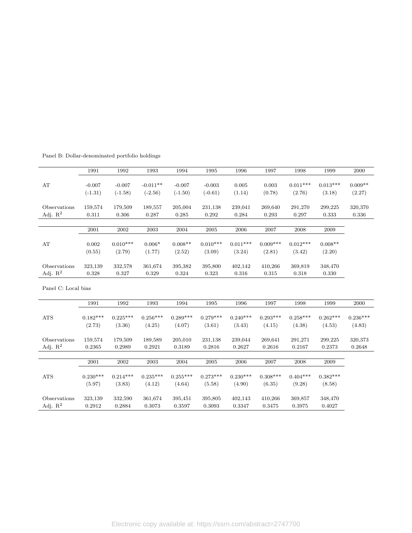|                     | 1991       | 1992       | 1993       | 1994       | 1995       | 1996       | 1997       | 1998       | 1999       | 2000       |
|---------------------|------------|------------|------------|------------|------------|------------|------------|------------|------------|------------|
| AT                  | $-0.007$   | $-0.007$   | $-0.011**$ | $-0.007$   | $-0.003$   | 0.005      | 0.003      | $0.011***$ | $0.013***$ | $0.009**$  |
|                     | $(-1.31)$  | $(-1.58)$  | $(-2.56)$  | $(-1.50)$  | $(-0.61)$  | (1.14)     | (0.78)     | (2.76)     | (3.18)     | (2.27)     |
| Observations        | 159,574    | 179,509    | 189,557    | 205,004    | 231,138    | 239,041    | 269,640    | 291,270    | 299,225    | 320,370    |
| Adj. $\mathbf{R}^2$ | 0.311      | 0.306      | 0.287      | 0.285      | 0.292      | 0.284      | 0.293      | 0.297      | 0.333      | 0.336      |
|                     |            |            |            |            |            |            |            |            |            |            |
|                     | 2001       | 2002       | 2003       | 2004       | 2005       | 2006       | 2007       | 2008       | 2009       |            |
| AT                  | 0.002      | $0.010***$ | $0.006*$   | $0.008**$  | $0.010***$ | $0.011***$ | $0.009***$ | $0.012***$ | $0.008**$  |            |
|                     | (0.55)     | (2.79)     | (1.77)     | (2.52)     | (3.09)     | (3.24)     | (2.81)     | (3.42)     | (2.20)     |            |
| Observations        | 323,139    | 332,578    | 361,674    | 395,382    | 395,800    | 402,142    | 410,266    | 369,819    | 348,470    |            |
| Adj. $R^2$          | 0.328      | 0.327      | 0.329      | 0.324      | 0.323      | 0.316      | 0.315      | 0.318      | 0.330      |            |
| Panel C: Local bias |            |            |            |            |            |            |            |            |            |            |
|                     | 1991       | 1992       | 1993       | 1994       | 1995       | 1996       | 1997       | 1998       | 1999       | 2000       |
| <b>ATS</b>          | $0.182***$ | $0.225***$ | $0.256***$ | $0.289***$ | $0.279***$ | $0.240***$ | $0.293***$ | $0.258***$ | $0.262***$ | $0.236***$ |
|                     | (2.73)     | (3.36)     | (4.25)     | (4.07)     | (3.61)     | (3.43)     | (4.15)     | (4.38)     | (4.53)     | (4.83)     |
| Observations        | 159,574    | 179,509    | 189,589    | 205,010    | 231,138    | 239,044    | 269,641    | 291,271    | 299,225    | 320,373    |
| Adj. $R^2$          | 0.2365     | 0.2989     | 0.2921     | 0.3189     | 0.2816     | 0.2627     | 0.2616     | 0.2167     | 0.2373     | 0.2648     |
|                     |            |            |            |            |            |            |            |            |            |            |
|                     | 2001       | 2002       | 2003       | 2004       | 2005       | 2006       | 2007       | 2008       | 2009       |            |
| <b>ATS</b>          | $0.230***$ | $0.214***$ | $0.235***$ | $0.255***$ | $0.273***$ | $0.230***$ | $0.308***$ | $0.404***$ | $0.382***$ |            |
|                     | (5.97)     | (3.83)     | (4.12)     | (4.64)     | (5.58)     | (4.90)     | (6.35)     | (9.28)     | (8.58)     |            |
| Observations        | 323,139    | 332,590    | 361,674    | 395,451    | 395,805    | 402,143    | 410,266    | 369,857    | 348,470    |            |
| Adj. $\mathbf{R}^2$ | 0.2912     | 0.2884     | 0.3073     | 0.3597     | 0.3093     | 0.3347     | 0.3475     | 0.3975     | 0.4027     |            |

Panel B: Dollar-denominated portfolio holdings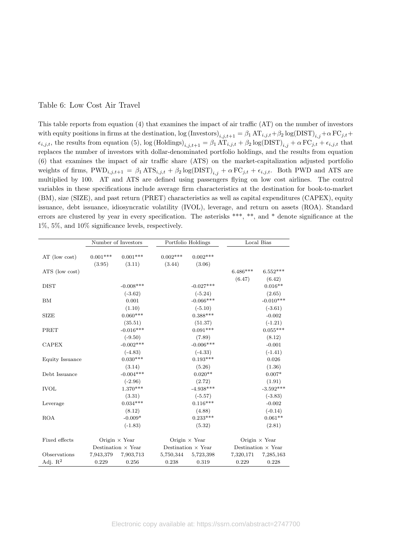### Table 6: Low Cost Air Travel

This table reports from equation (4) that examines the impact of air traffic (AT) on the number of investors with equity positions in firms at the destination,  $\log(\text{Investors})_{i,j,t+1} = \beta_1 \text{AT}_{i,j,t} + \beta_2 \log(\text{DIST})_{i,j} + \alpha \text{FC}_{j,t} + \beta_3 \log(\text{DIST})_{i,j,t+1}$  $\epsilon_{i,j,t}$ , the results from equation (5), log (Holdings) $\epsilon_{i,j,t+1} = \beta_1 A T_{i,j,t} + \beta_2 \log(DIST)_{i,j} + \alpha F C_{j,t} + \epsilon_{i,j,t}$  that replaces the number of investors with dollar-denominated portfolio holdings, and the results from equation (6) that examines the impact of air traffic share (ATS) on the market-capitalization adjusted portfolio weights of firms,  $\text{PWD}_{i,j,t+1} = \beta_1 \text{ATS}_{i,j,t} + \beta_2 \log(\text{DIST})_{i,j} + \alpha \text{FC}_{j,t} + \epsilon_{i,j,t}$ . Both PWD and ATS are multiplied by 100. AT and ATS are defined using passengers flying on low cost airlines. The control variables in these specifications include average firm characteristics at the destination for book-to-market (BM), size (SIZE), and past return (PRET) characteristics as well as capital expenditures (CAPEX), equity issuance, debt issuance, idiosyncratic volatility (IVOL), leverage, and return on assets (ROA). Standard errors are clustered by year in every specification. The asterisks \*\*\*, \*\*, and \* denote significance at the 1%, 5%, and 10% significance levels, respectively.

|                 |            | Number of Investors       |                      | Portfolio Holdings        |                           | Local Bias           |
|-----------------|------------|---------------------------|----------------------|---------------------------|---------------------------|----------------------|
| AT (low cost)   | $0.001***$ | $0.001***$                | $0.002***$<br>(3.44) | $0.002***$                |                           |                      |
| ATS (low cost)  | (3.95)     | (3.11)                    |                      | (3.06)                    | $6.486***$                | $6.552***$           |
|                 |            |                           |                      |                           | (6.47)                    | (6.42)               |
| <b>DIST</b>     |            | $-0.008$ ***              |                      | $-0.027***$               |                           | $0.016**$            |
|                 |            | $(-3.62)$                 |                      | $(-5.24)$                 |                           | (2.65)               |
| <b>BM</b>       |            | 0.001                     |                      | $-0.066***$               |                           | $-0.010***$          |
|                 |            | (1.10)                    |                      | $(-5.10)$                 |                           | $(-3.61)$            |
| <b>SIZE</b>     |            | $0.060***$                |                      | $0.388***$                |                           | $-0.002$             |
|                 |            | (35.51)                   |                      | (51.37)                   |                           | $(-1.21)$            |
| PRET            |            | $-0.016***$               |                      | $0.091***$                |                           | $0.055***$           |
|                 |            | $(-9.50)$                 |                      | (7.89)                    |                           | (8.12)               |
| <b>CAPEX</b>    |            | $-0.002***$               |                      | $-0.006***$               |                           | $-0.001$             |
|                 |            | $(-4.83)$                 |                      | $(-4.33)$                 |                           | $(-1.41)$            |
| Equity Issuance |            | $0.030***$                |                      | $0.193***$                |                           | 0.026                |
|                 |            | (3.14)                    |                      | (5.26)                    |                           | (1.36)               |
| Debt Issuance   |            | $-0.004***$               |                      | $0.020**$                 |                           | $0.007*$             |
|                 |            | $(-2.96)$                 |                      | (2.72)                    |                           | (1.91)               |
| <b>IVOL</b>     |            | $1.370***$                |                      | $-4.938***$               |                           | $-3.592***$          |
|                 |            | (3.31)                    |                      | $(-5.57)$                 |                           | $(-3.83)$            |
| Leverage        |            | $0.034***$                |                      | $0.116***$                |                           | $-0.002$             |
|                 |            | (8.12)                    |                      | (4.88)                    |                           | $(-0.14)$            |
| <b>ROA</b>      |            | $-0.009*$                 |                      | $0.233***$                |                           | $0.061**$            |
|                 |            | $(-1.83)$                 |                      | (5.32)                    |                           | (2.81)               |
|                 |            |                           |                      |                           |                           |                      |
| Fixed effects   |            | Origin $\times$ Year      |                      | Origin $\times$ Year      |                           | Origin $\times$ Year |
|                 |            | Destination $\times$ Year |                      | Destination $\times$ Year | Destination $\times$ Year |                      |
| Observations    | 7,943,379  | 7,903,713                 | 5,750,344            | 5,723,398                 | 7,320,171                 | 7,285,163            |
| Adj. $R^2$      | 0.229      | 0.256                     | 0.238                | 0.319                     | 0.229                     | 0.228                |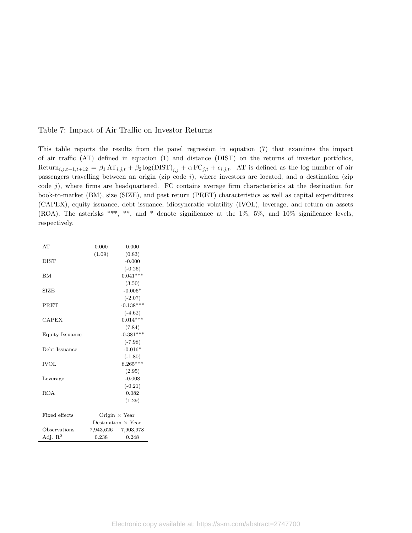### Table 7: Impact of Air Traffic on Investor Returns

This table reports the results from the panel regression in equation (7) that examines the impact of air traffic (AT) defined in equation (1) and distance (DIST) on the returns of investor portfolios, Return<sub>i,j,t+1,t+12</sub> =  $\beta_1 A T_{i,j,t} + \beta_2 \log(DIST)_{i,j} + \alpha FC_{j,t} + \epsilon_{i,j,t}$ . AT is defined as the log number of air passengers travelling between an origin (zip code  $i$ ), where investors are located, and a destination (zip code  $j$ ), where firms are headquartered. FC contains average firm characteristics at the destination for book-to-market (BM), size (SIZE), and past return (PRET) characteristics as well as capital expenditures (CAPEX), equity issuance, debt issuance, idiosyncratic volatility (IVOL), leverage, and return on assets (ROA). The asterisks \*\*\*, \*\*, and \* denote significance at the 1%, 5%, and 10% significance levels, respectively.

| AT              | 0.000  | 0.000                     |
|-----------------|--------|---------------------------|
| <b>DIST</b>     | (1.09) | (0.83)<br>$-0.000$        |
|                 |        | $(-0.26)$                 |
| <b>BM</b>       |        | $0.041***$                |
|                 |        | (3.50)                    |
| <b>SIZE</b>     |        | $-0.006*$                 |
|                 |        | $(-2.07)$                 |
| PRET            |        | $-0.138***$               |
|                 |        | $(-4.62)$                 |
| <b>CAPEX</b>    |        | $0.014***$                |
|                 |        | (7.84)                    |
| Equity Issuance |        | $-0.381***$               |
|                 |        | $(-7.98)$                 |
| Debt Issuance   |        | $-0.016*$                 |
|                 |        | $(-1.80)$                 |
| <b>IVOL</b>     |        | $8.265***$                |
|                 |        | (2.95)                    |
| Leverage        |        | $-0.008$                  |
|                 |        | $(-0.21)$                 |
| <b>ROA</b>      |        | 0.082                     |
|                 |        | (1.29)                    |
|                 |        |                           |
| Fixed effects   |        | Origin $\times$ Year      |
|                 |        | Destination $\times$ Year |
| Observations    |        | 7,943,626 7,903,978       |
| Adj. $R^2$      | 0.238  | 0.248                     |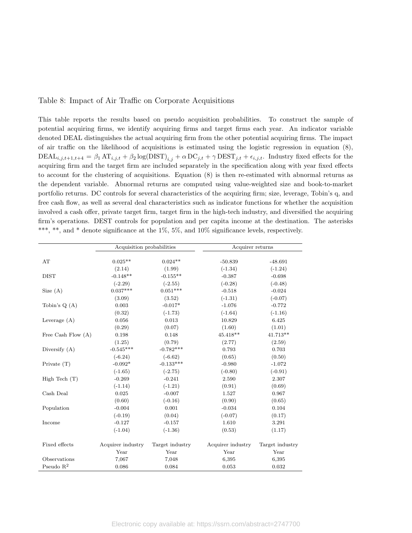### Table 8: Impact of Air Traffic on Corporate Acquisitions

This table reports the results based on pseudo acquisition probabilities. To construct the sample of potential acquiring firms, we identify acquiring firms and target firms each year. An indicator variable denoted DEAL distinguishes the actual acquiring firm from the other potential acquiring firms. The impact of air traffic on the likelihood of acquisitions is estimated using the logistic regression in equation (8),  $\text{DEAL}_{i,j,t+1,t+4} = \beta_1 \, \text{AT}_{i,j,t} + \beta_2 \log(\text{DIST})_{i,j} + \alpha \, \text{DC}_{j,t} + \gamma \, \text{DEF}_{j,t} + \epsilon_{i,j,t}.$  Industry fixed effects for the acquiring firm and the target firm are included separately in the specification along with year fixed effects to account for the clustering of acquisitions. Equation (8) is then re-estimated with abnormal returns as the dependent variable. Abnormal returns are computed using value-weighted size and book-to-market portfolio returns. DC controls for several characteristics of the acquiring firm; size, leverage, Tobin's q, and free cash flow, as well as several deal characteristics such as indicator functions for whether the acquisition involved a cash offer, private target firm, target firm in the high-tech industry, and diversified the acquiring firm's operations. DEST controls for population and per capita income at the destination. The asterisks \*\*\*, \*\*, and \* denote significance at the 1%, 5%, and 10% significance levels, respectively.

|                      | Acquisition probabilities |                 | Acquirer returns  |                 |
|----------------------|---------------------------|-----------------|-------------------|-----------------|
|                      |                           |                 |                   |                 |
| AT                   | $0.025**$                 | $0.024**$       | $-50.839$         | $-48.691$       |
|                      | (2.14)                    | (1.99)          | $(-1.34)$         | $(-1.24)$       |
| <b>DIST</b>          | $-0.148**$                | $-0.155**$      | $-0.387$          | $-0.698$        |
|                      | $(-2.29)$                 | $(-2.55)$       | $(-0.28)$         | $(-0.48)$       |
| Size $(A)$           | $0.037***$                | $0.051***$      | $-0.518$          | $-0.024$        |
|                      | (3.09)                    | (3.52)          | $(-1.31)$         | $(-0.07)$       |
| Tobin's $Q(A)$       | 0.003                     | $-0.017*$       | $-1.076$          | $-0.772$        |
|                      | (0.32)                    | $(-1.73)$       | $(-1.64)$         | $(-1.16)$       |
| Leverage $(A)$       | 0.056                     | 0.013           | 10.829            | 6.425           |
|                      | (0.29)                    | (0.07)          | (1.60)            | (1.01)          |
| Free Cash Flow $(A)$ | 0.198                     | 0.148           | $45.418**$        | 41.713**        |
|                      | (1.25)                    | (0.79)          | (2.77)            | (2.59)          |
| Diversify $(A)$      | $-0.545***$               | $-0.782***$     | 0.793             | 0.703           |
|                      | $(-6.24)$                 | $(-6.62)$       | (0.65)            | (0.50)          |
| Private $(T)$        | $-0.092*$                 | $-0.133***$     | $-0.980$          | $-1.072$        |
|                      | $(-1.65)$                 | $(-2.75)$       | $(-0.80)$         | $(-0.91)$       |
| High Tech $(T)$      | $-0.269$                  | $-0.241$        | 2.590             | 2.307           |
|                      | $(-1.14)$                 | $(-1.21)$       | (0.91)            | (0.69)          |
| Cash Deal            | 0.025                     | $-0.007$        | 1.527             | 0.967           |
|                      | (0.60)                    | $(-0.16)$       | (0.90)            | (0.65)          |
| Population           | $-0.004$                  | 0.001           | $-0.034$          | 0.104           |
|                      | $(-0.19)$                 | (0.04)          | $(-0.07)$         | (0.17)          |
| Income               | $-0.127$                  | $-0.157$        | 1.610             | 3.291           |
|                      | $(-1.04)$                 | $(-1.36)$       | (0.53)            | (1.17)          |
|                      |                           |                 |                   |                 |
| Fixed effects        | Acquirer industry         | Target industry | Acquirer industry | Target industry |
|                      | Year                      | Year            | Year              | Year            |
| Observations         | 7,067                     | 7,048           | 6,395             | 6,395           |
| Pseudo $R^2$         | 0.086                     | 0.084           | 0.053             | 0.032           |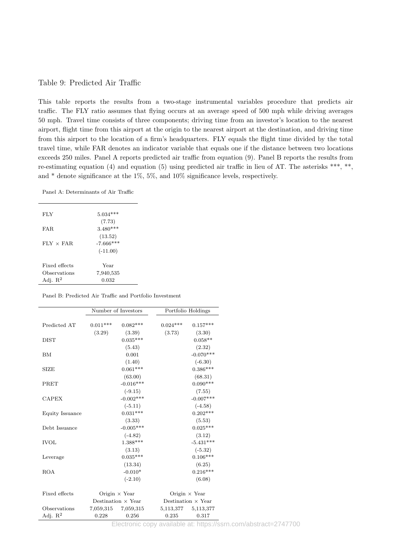### Table 9: Predicted Air Traffic

This table reports the results from a two-stage instrumental variables procedure that predicts air traffic. The FLY ratio assumes that flying occurs at an average speed of 500 mph while driving averages 50 mph. Travel time consists of three components; driving time from an investor's location to the nearest airport, flight time from this airport at the origin to the nearest airport at the destination, and driving time from this airport to the location of a firm's headquarters. FLY equals the flight time divided by the total travel time, while FAR denotes an indicator variable that equals one if the distance between two locations exceeds 250 miles. Panel A reports predicted air traffic from equation (9). Panel B reports the results from re-estimating equation (4) and equation (5) using predicted air traffic in lieu of AT. The asterisks \*\*\*, \*\*, and \* denote significance at the 1%, 5%, and 10% significance levels, respectively.

Panel A: Determinants of Air Traffic

| <b>FLY</b>          | $5.034***$                      |
|---------------------|---------------------------------|
| FAR.                | (7.73)<br>$3.480***$<br>(13.52) |
| $FIN \times FAR$    | $-7.666$ ***<br>$(-11.00)$      |
| Fixed effects       | Year                            |
| Observations        | 7,940,535                       |
| Adj. $\mathbb{R}^2$ | 0.032                           |
|                     |                                 |

Panel B: Predicted Air Traffic and Portfolio Investment

|                 |            | Number of Investors       |            | Portfolio Holdings                        |
|-----------------|------------|---------------------------|------------|-------------------------------------------|
| Predicted AT    | $0.011***$ | $0.082***$                | $0.024***$ | $0.157***$                                |
| <b>DIST</b>     | (3.29)     | (3.39)<br>$0.035***$      | (3.73)     | (3.30)<br>$0.058**$                       |
|                 |            | (5.43)                    |            | (2.32)                                    |
| BM              |            | 0.001                     |            | $-0.070***$                               |
|                 |            | (1.40)                    |            | $(-6.30)$                                 |
| <b>SIZE</b>     |            | $0.061***$                |            | $0.386***$                                |
|                 |            | (63.00)                   |            | (68.31)                                   |
| PRET            |            | $-0.016***$               |            | $0.090***$                                |
|                 |            | $(-9.15)$                 |            | (7.55)                                    |
| <b>CAPEX</b>    |            | $-0.002***$               |            | $-0.007***$                               |
|                 |            | $(-5.11)$                 |            | $(-4.58)$                                 |
| Equity Issuance |            | $0.031***$                |            | $0.202***$                                |
|                 |            | (3.33)                    |            | (5.53)                                    |
| Debt Issuance   |            | $-0.005***$               |            | $0.025***$                                |
|                 |            | $(-4.82)$                 |            | (3.12)                                    |
| <b>IVOL</b>     |            | $1.388***$                |            | $-5.431***$                               |
|                 |            | (3.13)                    |            | $(-5.32)$                                 |
| Leverage        |            | $0.035***$                |            | $0.106***$                                |
|                 |            | (13.34)                   |            | (6.25)                                    |
| <b>ROA</b>      |            | $-0.010*$                 |            | $0.216***$                                |
|                 |            | $(-2.10)$                 |            | (6.08)                                    |
| Fixed effects   |            | Origin $\times$ Year      |            | Origin $\times$ Year                      |
|                 |            | Destination $\times$ Year |            | Destination $\times$ Year                 |
| Observations    |            | 7,059,315 7,059,315       |            | 5,113,377 5,113,377                       |
| Adj. $R^2$      | 0.228      | 0.256                     | 0.235      | 0.317                                     |
|                 |            |                           |            | Electronic copy available at: bttps://cer |

Electronic copy available at: https://ssrn.com/abstract=2747700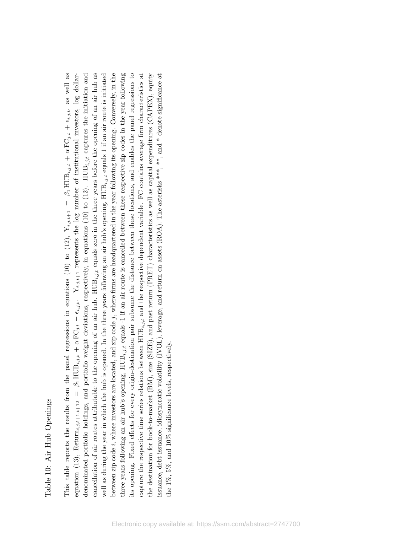# Table 10: Air Hub Openings Table 10: Air Hub Openings

cancellation of air routes attributable to the opening of an air hub.  $HUB_{i,j,t}$  equals zero in the three years before the opening of an air hub as well as during the year in which the hub is opened. In the three years following an air hub's opening,  $HUB_{i,j,t}$  equals 1 if an air route is initiated between zip code  $i$ , where investors are located, and zip code  $j$ , where firms are headquartered in the year following its opening. Conversely, in the three years following an air hub's opening,  $HUB_{i,j,t}$  equals -1 if an air route is cancelled between these respective zip codes in the year following tts opening. Fixed effects for every origin-destination pair subsume the distance between these locations, and enables the panel regressions to capture the respective time series relations between  $HUB_{i,j,t}$  and the respective dependent variable. FC contains average firm characteristics at the destination for book-to-market (BM), size (SIZE), and past return (PRET) characteristics as well as capital expenditures (CAPEX), equity issuance, debt issuance, idiosyncratic volatility (IVOL), leverage, and return on assets (ROA). The asterisks \*\*\*, \*\*, and \* denote significance at  $+$   $\epsilon_{i,j,t}$ , as well as denominated portfolio holdings, and portfolio weight deviations, respectively, in equations (10) to (12). HUB $_{i,j,t}$  captures the initiation and well as during the year in which the hub is opened. In the three years following an air hub's opening,  ${\rm HUB}_{i,j,t}$  equals 1 if an air route is initiated  $i_j$ ,  $i_j$ ,  $j_{i,j,t+1}$  represents the log number of institutional investors, log dollarcancellation of air routes attributable to the opening of an air hub. HUB $_{i,j,t}$  equals zero in the three years before the opening of an air hub as between zip code i, where investors are located, and zip code j, where firms are headquartered in the year following its opening. Conversely, in the three years following an air hub's opening,  $HUB_{i,j,t}$  equals -1 if an air route is cancelled between these respective zip codes in the year following its opening. Fixed effects for every origin-destination pair subsume the distance between these locations, and enables the panel regressions to capture the respective time series relations between  $HUB_{i,j,t}$  and the respective dependent variable. FC contains average firm characteristics at the destination for book-to-market (BM), size (SIZE), and past return (PRET) characteristics as well as capital expenditures (CAPEX), equity issuance, debt issuance, idiosyncratic volatility (IVOL), leverage, and return on assets (ROA). The asterisks \*\*\*, and \* denote significance at + $\alpha$  FC $_{j,t}$ + $\beta_1 \operatorname{HUB}_{i,j,t}$ This table reports the results from the panel regressions in equations (10) to (12),  $Y_{i,j,t+1}$ + $\alpha$  FC $_{j,t}$ the 1%, 5%, and 10% significance levels, respectively. the 1%, 5%, and 10% significance levels, respectively. + $\beta_1 \operatorname{HUB}_{i,j,t}$ equation  $(13)$ , Return $_{i,j,t+1,t+12}$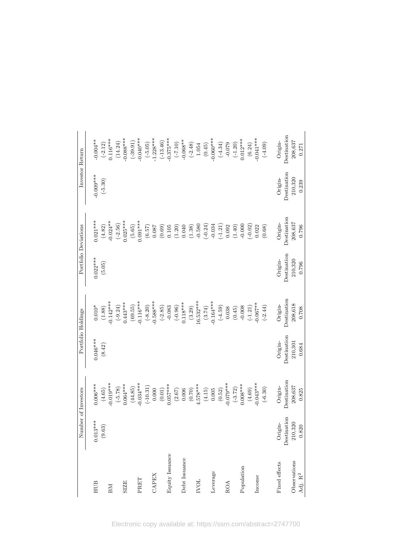|                     |             | Number of Investors                                                     | Portfolio Holdings |                       |             | Portfolio Deviations                                                                            | Investor Return |                                                                                                                        |
|---------------------|-------------|-------------------------------------------------------------------------|--------------------|-----------------------|-------------|-------------------------------------------------------------------------------------------------|-----------------|------------------------------------------------------------------------------------------------------------------------|
| ${\rm HUB}$         | $0.013***$  | $0.006***$                                                              | $0.046***$         | $0.010*$              | $0.022***$  | $0.021***$                                                                                      | $-0.009***$     | $-0.004**$                                                                                                             |
|                     | (9.63)      | (4.65)                                                                  | (8.42)             | $(1.88)$              | (5.05)      | $(4.82)$<br>-0.024**                                                                            | $(-5.30)$       | $(-2.12)$<br>0.116***                                                                                                  |
| BМ                  |             | $0.019***$                                                              |                    | $-0.142***$           |             |                                                                                                 |                 |                                                                                                                        |
|                     |             | $(-5.78)$                                                               |                    | $(-9.24)$<br>0.443*** |             | $(-2.56)$<br>0.025***                                                                           |                 | (14.24)                                                                                                                |
| <b>SIZE</b>         |             | $0.064***$                                                              |                    |                       |             |                                                                                                 |                 | $0.088***$                                                                                                             |
|                     |             | (44.85)                                                                 |                    | (69.55)               |             | (5.65)                                                                                          |                 | $(-39.91)$                                                                                                             |
| PRET                |             | $-0.034***$                                                             |                    | $-0.116***$           |             | $0.091***$                                                                                      |                 | $0.040***$                                                                                                             |
|                     |             | $(-10.31)$                                                              |                    | $(-8.20)$             |             |                                                                                                 |                 | $(-5.05)$                                                                                                              |
| CAPEX               |             | 0.000                                                                   |                    | $-0.588***$           |             | $\begin{array}{c} (6.57) \\ 0.087 \end{array}$                                                  |                 | $-1.228***$                                                                                                            |
|                     |             | $\begin{array}{c} (0.01) \\ 0.057^{***} \\ (2.67) \\ 0.006 \end{array}$ |                    | $(-2.85)$             |             |                                                                                                 |                 |                                                                                                                        |
| Equity Issuance     |             |                                                                         |                    | $-0.083$              |             |                                                                                                 |                 |                                                                                                                        |
|                     |             |                                                                         |                    | $(-0.96)$<br>0.118*** |             |                                                                                                 |                 |                                                                                                                        |
| Debt Issuance       |             |                                                                         |                    |                       |             |                                                                                                 |                 |                                                                                                                        |
|                     |             | $(0.70)$                                                                |                    | $(3.29)$<br>16.532*** |             | $\begin{array}{c} (0.69) \\ 0.105 \\ (1.20) \\ 0.040 \\ (1.38) \\ (1.38) \\ -0.580 \end{array}$ |                 | $\begin{array}{c} (-13.46) \\ -0.375^{***} \\ (-7.10) \\ -0.068^{***} \\ -0.068^{***} \\ (-2.48) \\ 1.054 \end{array}$ |
| <b>LONI</b>         |             | $4.578***$                                                              |                    |                       |             |                                                                                                 |                 |                                                                                                                        |
|                     |             | $(4.15)$<br>0.005                                                       |                    | $(3.74)$<br>-0.164*** |             | $(-0.24)$<br>$-0.034$                                                                           |                 | $\begin{array}{c} (0.45) \\ -0.060^{***} \\ (-4.34) \\ -0.079 \\ \hline \end{array}$                                   |
| Leverage            |             |                                                                         |                    |                       |             |                                                                                                 |                 |                                                                                                                        |
|                     |             | (0.52)                                                                  |                    | $(-4.59)$             |             |                                                                                                 |                 |                                                                                                                        |
| ROA                 |             | $-0.079***$                                                             |                    | 0.038                 |             | $(-1.21)$<br>0.092                                                                              |                 |                                                                                                                        |
|                     |             | $(-3.72)$                                                               |                    | (0.45)                |             | $(1.40)$                                                                                        |                 |                                                                                                                        |
| Population          |             | $0.008***$                                                              |                    | $-0.008$              |             | $-0.000$                                                                                        |                 |                                                                                                                        |
|                     |             | (4.69)                                                                  |                    | $(-1.21)$<br>-0.067** |             | $(-0.02)$                                                                                       |                 | $(6.24)$<br>-0.041***                                                                                                  |
| Income              |             | $-0.043***$                                                             |                    |                       |             | 0.022                                                                                           |                 |                                                                                                                        |
|                     |             | $(-6.30)$                                                               |                    | $(-2.44)$             |             | (0.68)                                                                                          |                 | $(-4.09)$                                                                                                              |
| Fixed effects       | Origin-     | Origin-                                                                 | Origin-            | Origin-               | Origin-     | Origin-                                                                                         | Origin-         | Origin-                                                                                                                |
|                     | Destination | Destination                                                             | Destination        | Destination           | Destination | Destination                                                                                     | Destination     | Destination                                                                                                            |
| Observations        | 210,320     | 208,637                                                                 | 210,301            | $208,618$             | 210,320     | 208,637                                                                                         | 210,320         | 208,637                                                                                                                |
| Adj. $\mathbf{R}^2$ | 0.820       | 0.825                                                                   | 0.684              | 0.708                 | 0.796       | 0.796                                                                                           | 0.239           | 0.271                                                                                                                  |
|                     |             |                                                                         |                    |                       |             |                                                                                                 |                 |                                                                                                                        |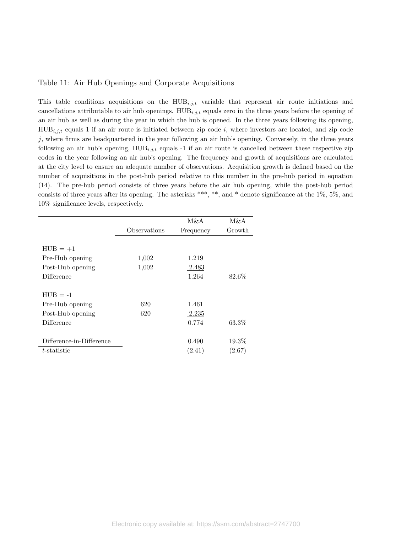### Table 11: Air Hub Openings and Corporate Acquisitions

This table conditions acquisitions on the  $HUB_{i,j,t}$  variable that represent air route initiations and cancellations attributable to air hub openings.  $HUB_{i,j,t}$  equals zero in the three years before the opening of an air hub as well as during the year in which the hub is opened. In the three years following its opening,  $HUB_{i,j,t}$  equals 1 if an air route is initiated between zip code i, where investors are located, and zip code  $j$ , where firms are headquartered in the year following an air hub's opening. Conversely, in the three years following an air hub's opening,  $HUB_{i,i,t}$  equals -1 if an air route is cancelled between these respective zip codes in the year following an air hub's opening. The frequency and growth of acquisitions are calculated at the city level to ensure an adequate number of observations. Acquisition growth is defined based on the number of acquisitions in the post-hub period relative to this number in the pre-hub period in equation (14). The pre-hub period consists of three years before the air hub opening, while the post-hub period consists of three years after its opening. The asterisks \*\*\*, \*\*, and \* denote significance at the 1%, 5%, and 10% significance levels, respectively.

|                          |              | M&A       | M&A      |
|--------------------------|--------------|-----------|----------|
|                          | Observations | Frequency | Growth   |
|                          |              |           |          |
| $HUB = +1$               |              |           |          |
| Pre-Hub opening          | 1,002        | 1.219     |          |
| Post-Hub opening         | 1,002        | 2.483     |          |
| Difference               |              | 1.264     | 82.6%    |
|                          |              |           |          |
| $HUB = -1$               |              |           |          |
| Pre-Hub opening          | 620          | 1.461     |          |
| Post-Hub opening         | 620          | 2.235     |          |
| Difference               |              | 0.774     | 63.3%    |
|                          |              |           |          |
| Difference-in-Difference |              | 0.490     | $19.3\%$ |
| $t$ -statistic           |              | (2.41)    | (2.67)   |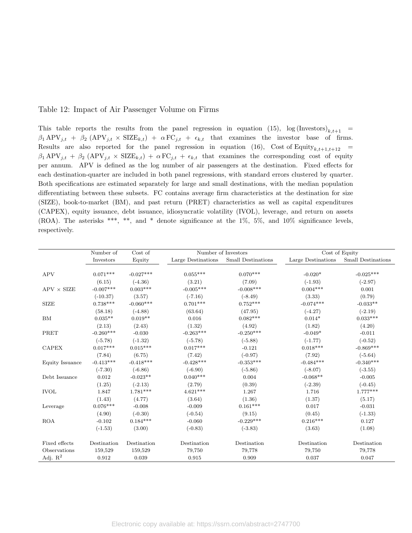### Table 12: Impact of Air Passenger Volume on Firms

This table reports the results from the panel regression in equation (15),  $\log(\text{Investors})_{k,t+1}$  =  $\beta_1 \text{APV}_{j,t} + \beta_2 \text{ (APV}_{j,t} \times \text{SIZE}_{k,t}) + \alpha \text{FC}_{j,t} + \epsilon_{k,t}$  that examines the investor base of firms. Results are also reported for the panel regression in equation (16), Cost of Equity $_{k,t+1,t+12}$  =  $\beta_1 \text{APV}_{j,t} + \beta_2 \text{ (APV}_{j,t} \times \text{SIZE}_{k,t}) + \alpha \text{FC}_{j,t} + \epsilon_{k,t}$  that examines the corresponding cost of equity per annum. APV is defined as the log number of air passengers at the destination. Fixed effects for each destination-quarter are included in both panel regressions, with standard errors clustered by quarter. Both specifications are estimated separately for large and small destinations, with the median population differentiating between these subsets. FC contains average firm characteristics at the destination for size (SIZE), book-to-market (BM), and past return (PRET) characteristics as well as capital expenditures (CAPEX), equity issuance, debt issuance, idiosyncratic volatility (IVOL), leverage, and return on assets (ROA). The asterisks \*\*\*, \*\*, and \* denote significance at the 1%, 5%, and 10% significance levels, respectively.

|                   | Number of   | Cost of         | Number of Investors |                    | Cost of Equity     |                    |
|-------------------|-------------|-----------------|---------------------|--------------------|--------------------|--------------------|
|                   | Investors   | Equity          | Large Destinations  | Small Destinations | Large Destinations | Small Destinations |
|                   |             |                 |                     |                    |                    |                    |
| <b>APV</b>        | $0.071***$  | $-0.027***$     | $0.055***$          | $0.070***$         | $-0.020*$          | $-0.025***$        |
|                   | (6.15)      | $(-4.36)$       | (3.21)              | (7.09)             | $(-1.93)$          | $(-2.97)$          |
| $APV \times SIZE$ | $-0.007***$ | $0.003***$      | $-0.005***$         | $-0.008***$        | $0.004***$         | 0.001              |
|                   | $(-10.37)$  | (3.57)          | $(-7.16)$           | $(-8.49)$          | (3.33)             | (0.79)             |
| <b>SIZE</b>       | $0.738***$  | $-0.060***$     | $0.701***$          | $0.752***$         | $-0.074***$        | $-0.033**$         |
|                   | (58.18)     | $(-4.88)$       | (63.64)             | (47.95)            | $(-4.27)$          | $(-2.19)$          |
| BM                | $0.035**$   | $0.019**$       | 0.016               | $0.082***$         | $0.014*$           | $0.033***$         |
|                   | (2.13)      | (2.43)          | (1.32)              | (4.92)             | (1.82)             | (4.20)             |
| PRET              | $-0.260***$ | $-0.030$        | $-0.263***$         | $-0.250***$        | $-0.049*$          | $-0.011$           |
|                   | $(-5.78)$   | $(-1.32)$       | $(-5.78)$           | $(-5.88)$          | $(-1.77)$          | $(-0.52)$          |
| <b>CAPEX</b>      | $0.017***$  | $0.015***$      | $0.017***$          | $-0.121$           | $0.018***$         | $-0.869***$        |
|                   | (7.84)      | (6.75)          | (7.42)              | $(-0.97)$          | (7.92)             | $(-5.64)$          |
| Equity Issuance   | $-0.413***$ | $-0.418***$     | $-0.428***$         | $-0.353***$        | $-0.484***$        | $-0.340***$        |
|                   | $(-7.30)$   | $(-6.86)$       | $(-6.90)$           | $(-5.86)$          | $(-8.07)$          | $(-3.55)$          |
| Debt Issuance     | 0.012       | $-0.023**$      | $0.040***$          | 0.004              | $-0.068**$         | $-0.005$           |
|                   | (1.25)      | $(-2.13)$       | (2.79)              | (0.39)             | $(-2.39)$          | $(-0.45)$          |
| <b>IVOL</b>       | 1.847       | $1.781***$      | $4.621***$          | 1.267              | 1.716              | $1.777***$         |
|                   | (1.43)      | (4.77)          | (3.64)              | (1.36)             | (1.37)             | (5.17)             |
| Leverage          | $0.076***$  | $-0.008$        | $-0.009$            | $0.161***$         | 0.017              | $-0.031$           |
|                   | (4.90)      | $(-0.30)$       | $(-0.54)$           | (9.15)             | (0.45)             | $(-1.33)$          |
| <b>ROA</b>        | $-0.102$    | $0.184^{***}\;$ | $-0.060$            | $-0.229***$        | $0.216***$         | 0.127              |
|                   | $(-1.53)$   | (3.00)          | $(-0.83)$           | $(-3.83)$          | (3.63)             | (1.08)             |
|                   |             |                 |                     |                    |                    |                    |
| Fixed effects     | Destination | Destination     | Destination         | Destination        | Destination        | Destination        |
| Observations      | 159,529     | 159,529         | 79,750              | 79,778             | 79,750             | 79,778             |
| Adj. $R^2$        | 0.912       | 0.039           | 0.915               | 0.909              | 0.037              | 0.047              |